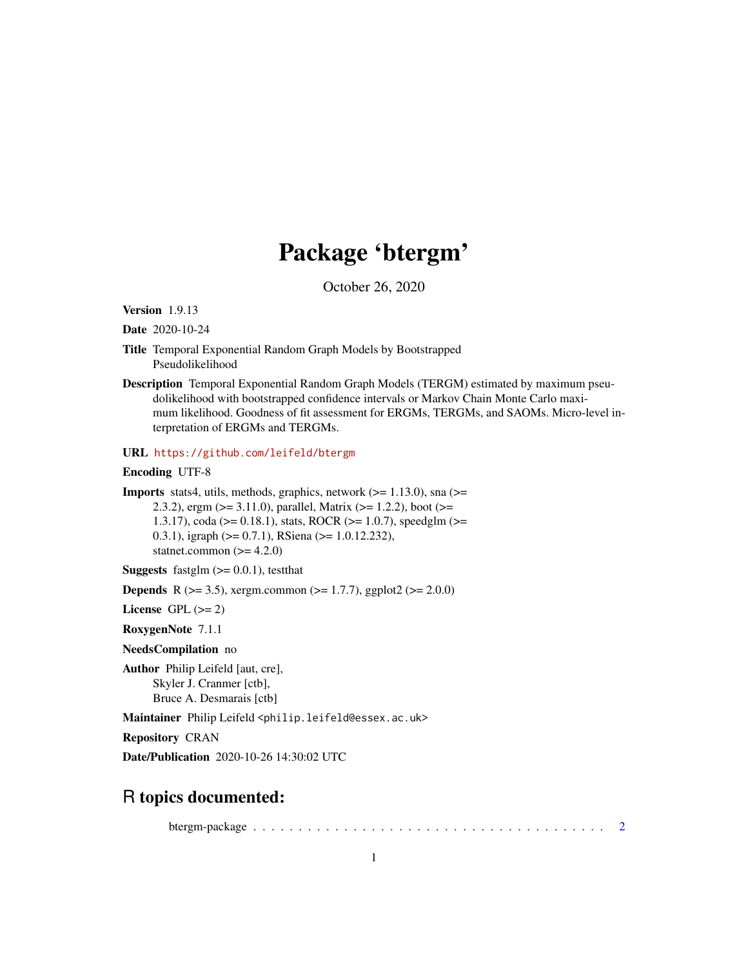## Package 'btergm'

October 26, 2020

<span id="page-0-0"></span>Version 1.9.13

Date 2020-10-24

- Title Temporal Exponential Random Graph Models by Bootstrapped Pseudolikelihood
- Description Temporal Exponential Random Graph Models (TERGM) estimated by maximum pseudolikelihood with bootstrapped confidence intervals or Markov Chain Monte Carlo maximum likelihood. Goodness of fit assessment for ERGMs, TERGMs, and SAOMs. Micro-level interpretation of ERGMs and TERGMs.

URL <https://github.com/leifeld/btergm>

Encoding UTF-8

**Imports** stats4, utils, methods, graphics, network  $(>= 1.13.0)$ , sna  $(>=$ 2.3.2), ergm (>= 3.11.0), parallel, Matrix (>= 1.2.2), boot (>= 1.3.17), coda (>= 0.18.1), stats, ROCR (>= 1.0.7), speedglm (>= 0.3.1), igraph (>= 0.7.1), RSiena (>= 1.0.12.232), statnet.common  $(>= 4.2.0)$ 

**Suggests** fastglm  $(>= 0.0.1)$ , testthat

**Depends** R ( $>= 3.5$ ), xergm.common ( $>= 1.7.7$ ), ggplot2 ( $>= 2.0.0$ )

License GPL  $(>= 2)$ 

RoxygenNote 7.1.1

NeedsCompilation no

Author Philip Leifeld [aut, cre], Skyler J. Cranmer [ctb], Bruce A. Desmarais [ctb]

Maintainer Philip Leifeld <philip.leifeld@essex.ac.uk>

Repository CRAN

Date/Publication 2020-10-26 14:30:02 UTC

## R topics documented:

btergm-package . . . . . . . . . . . . . . . . . . . . . . . . . . . . . . . . . . . . . . . [2](#page-1-0)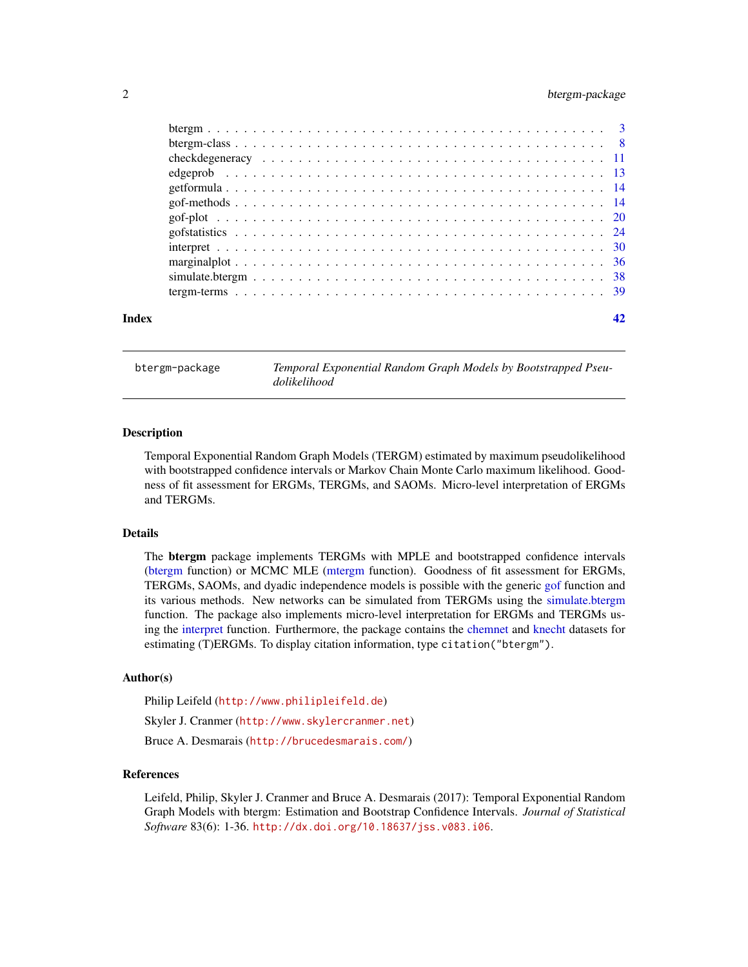#### <span id="page-1-0"></span>2 btergm-package

| Index |  |
|-------|--|
|       |  |
|       |  |
|       |  |
|       |  |
|       |  |
|       |  |
|       |  |
|       |  |
|       |  |
|       |  |
|       |  |
|       |  |

<span id="page-1-1"></span>btergm-package *Temporal Exponential Random Graph Models by Bootstrapped Pseudolikelihood*

#### Description

Temporal Exponential Random Graph Models (TERGM) estimated by maximum pseudolikelihood with bootstrapped confidence intervals or Markov Chain Monte Carlo maximum likelihood. Goodness of fit assessment for ERGMs, TERGMs, and SAOMs. Micro-level interpretation of ERGMs and TERGMs.

#### Details

The btergm package implements TERGMs with MPLE and bootstrapped confidence intervals [\(btergm](#page-2-1) function) or MCMC MLE [\(mtergm](#page-2-2) function). Goodness of fit assessment for ERGMs, TERGMs, SAOMs, and dyadic independence models is possible with the generic [gof](#page-13-1) function and its various methods. New networks can be simulated from TERGMs using the [simulate.btergm](#page-37-1) function. The package also implements micro-level interpretation for ERGMs and TERGMs using the [interpret](#page-29-1) function. Furthermore, the package contains the [chemnet](#page-0-0) and [knecht](#page-0-0) datasets for estimating (T)ERGMs. To display citation information, type citation("btergm").

#### Author(s)

Philip Leifeld (<http://www.philipleifeld.de>) Skyler J. Cranmer (<http://www.skylercranmer.net>)

Bruce A. Desmarais (<http://brucedesmarais.com/>)

#### References

Leifeld, Philip, Skyler J. Cranmer and Bruce A. Desmarais (2017): Temporal Exponential Random Graph Models with btergm: Estimation and Bootstrap Confidence Intervals. *Journal of Statistical Software* 83(6): 1-36. <http://dx.doi.org/10.18637/jss.v083.i06>.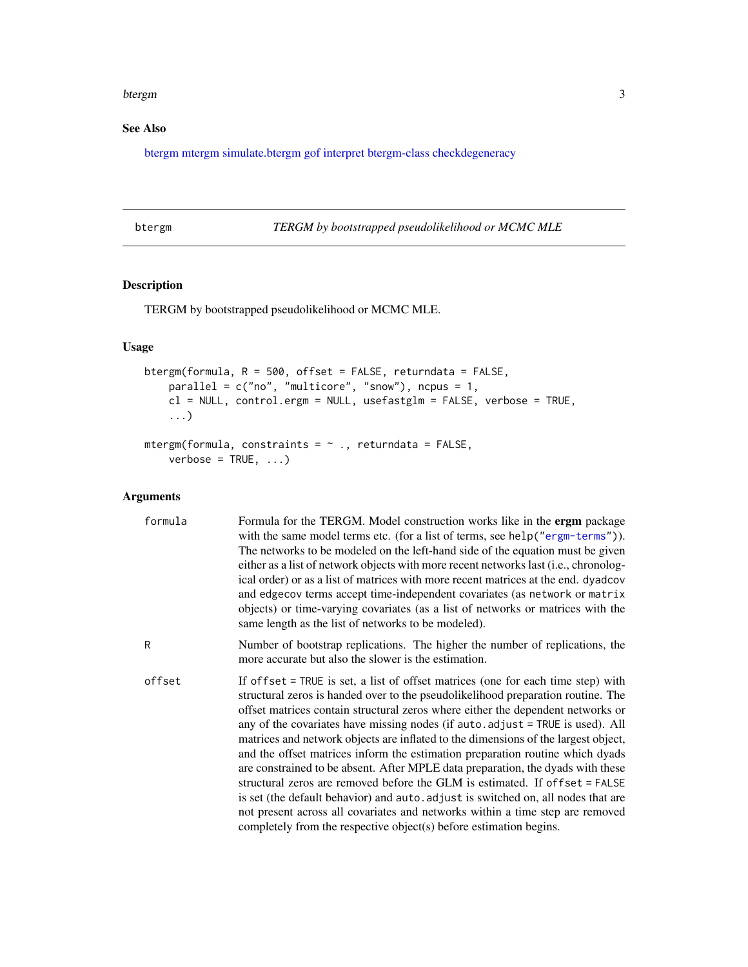#### <span id="page-2-0"></span>btergm 3

### See Also

[btergm](#page-2-1) [mtergm](#page-2-2) [simulate.btergm](#page-37-1) [gof](#page-13-1) [interpret](#page-29-1) [btergm-class](#page-7-1) [checkdegeneracy](#page-10-1)

|  | ≏ | ١r | ΥM. |
|--|---|----|-----|
|  |   |    |     |

<span id="page-2-1"></span>btergm *TERGM by bootstrapped pseudolikelihood or MCMC MLE*

#### <span id="page-2-2"></span>Description

TERGM by bootstrapped pseudolikelihood or MCMC MLE.

#### Usage

```
btergm(formula, R = 500, offset = FALSE, returndata = FALSE,
   parallel = c("no", "multicore", "snow"), ncpus = 1,cl = NULL, control.ergm = NULL, usefastglm = FALSE, verbose = TRUE,
    ...)
```

```
mtergm(formula, constraints = \sim ., returndata = FALSE,
    verbose = TRUE, ...)
```
#### Arguments

| formula | Formula for the TERGM. Model construction works like in the <b>ergm</b> package<br>with the same model terms etc. (for a list of terms, see help ("ergm-terms")).<br>The networks to be modeled on the left-hand side of the equation must be given<br>either as a list of network objects with more recent networks last (i.e., chronolog-<br>ical order) or as a list of matrices with more recent matrices at the end. dyadcov<br>and edge cov terms accept time-independent covariates (as network or matrix<br>objects) or time-varying covariates (as a list of networks or matrices with the<br>same length as the list of networks to be modeled).                                                                                                                                                                                                                                                                    |
|---------|-------------------------------------------------------------------------------------------------------------------------------------------------------------------------------------------------------------------------------------------------------------------------------------------------------------------------------------------------------------------------------------------------------------------------------------------------------------------------------------------------------------------------------------------------------------------------------------------------------------------------------------------------------------------------------------------------------------------------------------------------------------------------------------------------------------------------------------------------------------------------------------------------------------------------------|
| R       | Number of bootstrap replications. The higher the number of replications, the<br>more accurate but also the slower is the estimation.                                                                                                                                                                                                                                                                                                                                                                                                                                                                                                                                                                                                                                                                                                                                                                                          |
| offset  | If offset = TRUE is set, a list of offset matrices (one for each time step) with<br>structural zeros is handed over to the pseudolikelihood preparation routine. The<br>offset matrices contain structural zeros where either the dependent networks or<br>any of the covariates have missing nodes (if auto. adjust = TRUE is used). All<br>matrices and network objects are inflated to the dimensions of the largest object,<br>and the offset matrices inform the estimation preparation routine which dyads<br>are constrained to be absent. After MPLE data preparation, the dyads with these<br>structural zeros are removed before the GLM is estimated. If offset = FALSE<br>is set (the default behavior) and auto adjust is switched on, all nodes that are<br>not present across all covariates and networks within a time step are removed<br>completely from the respective object(s) before estimation begins. |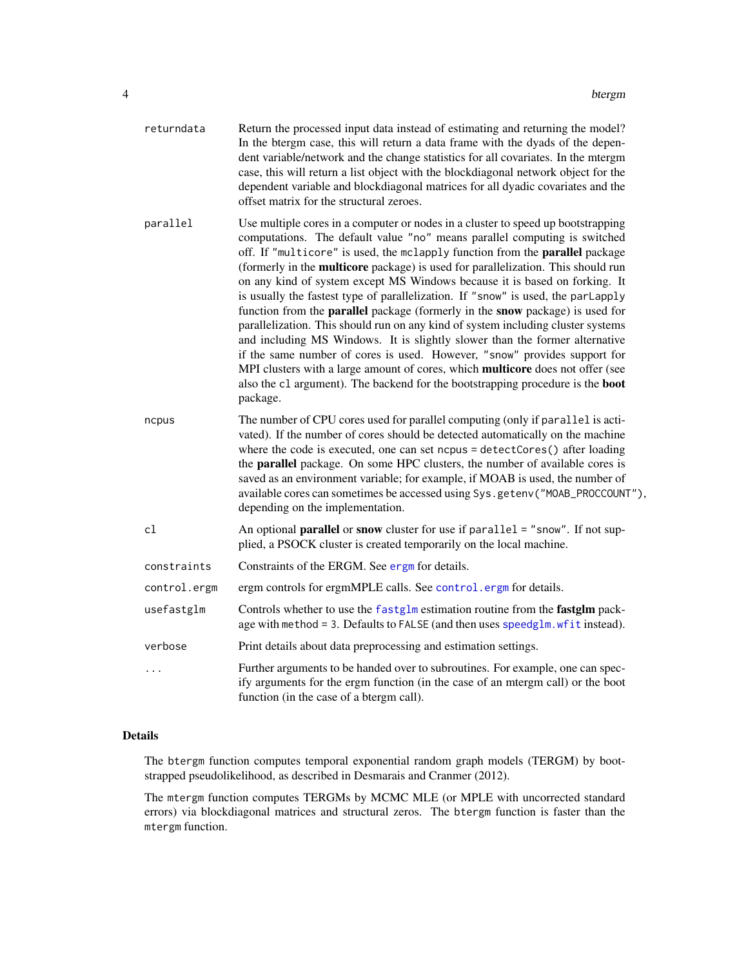<span id="page-3-0"></span>

| returndata   | Return the processed input data instead of estimating and returning the model?<br>In the btergm case, this will return a data frame with the dyads of the depen-<br>dent variable/network and the change statistics for all covariates. In the mtergm<br>case, this will return a list object with the blockdiagonal network object for the<br>dependent variable and blockdiagonal matrices for all dyadic covariates and the<br>offset matrix for the structural zeroes.                                                                                                                                                                                                                                                                                                                                                                                                                                                                                                                                                                       |
|--------------|--------------------------------------------------------------------------------------------------------------------------------------------------------------------------------------------------------------------------------------------------------------------------------------------------------------------------------------------------------------------------------------------------------------------------------------------------------------------------------------------------------------------------------------------------------------------------------------------------------------------------------------------------------------------------------------------------------------------------------------------------------------------------------------------------------------------------------------------------------------------------------------------------------------------------------------------------------------------------------------------------------------------------------------------------|
| parallel     | Use multiple cores in a computer or nodes in a cluster to speed up bootstrapping<br>computations. The default value "no" means parallel computing is switched<br>off. If "multicore" is used, the mclapply function from the <b>parallel</b> package<br>(formerly in the <b>multicore</b> package) is used for parallelization. This should run<br>on any kind of system except MS Windows because it is based on forking. It<br>is usually the fastest type of parallelization. If "snow" is used, the parLapply<br>function from the <b>parallel</b> package (formerly in the <b>snow</b> package) is used for<br>parallelization. This should run on any kind of system including cluster systems<br>and including MS Windows. It is slightly slower than the former alternative<br>if the same number of cores is used. However, "snow" provides support for<br>MPI clusters with a large amount of cores, which multicore does not offer (see<br>also the c1 argument). The backend for the bootstrapping procedure is the boot<br>package. |
| ncpus        | The number of CPU cores used for parallel computing (only if parallel is acti-<br>vated). If the number of cores should be detected automatically on the machine<br>where the code is executed, one can set ncpus = detectCores() after loading<br>the parallel package. On some HPC clusters, the number of available cores is<br>saved as an environment variable; for example, if MOAB is used, the number of<br>available cores can sometimes be accessed using Sys.getenv("MOAB_PROCCOUNT"),<br>depending on the implementation.                                                                                                                                                                                                                                                                                                                                                                                                                                                                                                            |
| cl           | An optional <b>parallel</b> or snow cluster for use if parallel = "snow". If not sup-<br>plied, a PSOCK cluster is created temporarily on the local machine.                                                                                                                                                                                                                                                                                                                                                                                                                                                                                                                                                                                                                                                                                                                                                                                                                                                                                     |
| constraints  | Constraints of the ERGM. See ergm for details.                                                                                                                                                                                                                                                                                                                                                                                                                                                                                                                                                                                                                                                                                                                                                                                                                                                                                                                                                                                                   |
| control.ergm | ergm controls for ergmMPLE calls. See control. ergm for details.                                                                                                                                                                                                                                                                                                                                                                                                                                                                                                                                                                                                                                                                                                                                                                                                                                                                                                                                                                                 |
| usefastglm   | Controls whether to use the fastglm estimation routine from the fastglm pack-<br>age with method = 3. Defaults to FALSE (and then uses speedglm. wfit instead).                                                                                                                                                                                                                                                                                                                                                                                                                                                                                                                                                                                                                                                                                                                                                                                                                                                                                  |
| verbose      | Print details about data preprocessing and estimation settings.                                                                                                                                                                                                                                                                                                                                                                                                                                                                                                                                                                                                                                                                                                                                                                                                                                                                                                                                                                                  |
| .            | Further arguments to be handed over to subroutines. For example, one can spec-<br>ify arguments for the ergm function (in the case of an mtergm call) or the boot<br>function (in the case of a btergm call).                                                                                                                                                                                                                                                                                                                                                                                                                                                                                                                                                                                                                                                                                                                                                                                                                                    |

#### Details

The btergm function computes temporal exponential random graph models (TERGM) by bootstrapped pseudolikelihood, as described in Desmarais and Cranmer (2012).

The mtergm function computes TERGMs by MCMC MLE (or MPLE with uncorrected standard errors) via blockdiagonal matrices and structural zeros. The btergm function is faster than the mtergm function.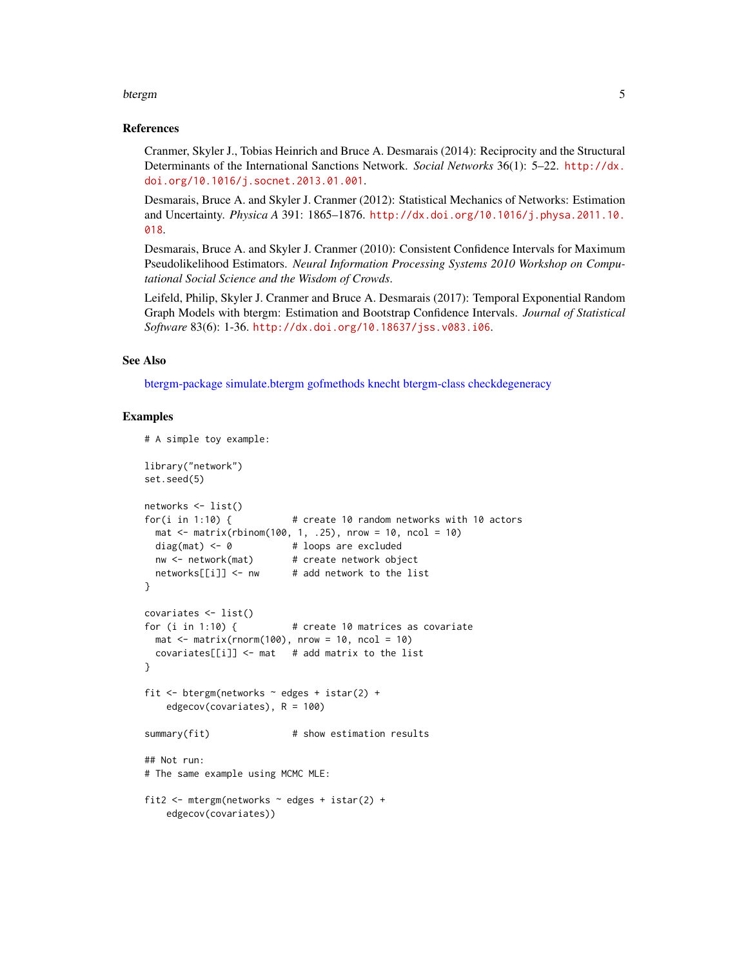#### <span id="page-4-0"></span>btergm 55 to 55 million with the contract of the contract of the contract of the contract of the contract of the contract of the contract of the contract of the contract of the contract of the contract of the contract of t

#### References

Cranmer, Skyler J., Tobias Heinrich and Bruce A. Desmarais (2014): Reciprocity and the Structural Determinants of the International Sanctions Network. *Social Networks* 36(1): 5–22. [http://dx.](http://dx.doi.org/10.1016/j.socnet.2013.01.001) [doi.org/10.1016/j.socnet.2013.01.001](http://dx.doi.org/10.1016/j.socnet.2013.01.001).

Desmarais, Bruce A. and Skyler J. Cranmer (2012): Statistical Mechanics of Networks: Estimation and Uncertainty. *Physica A* 391: 1865–1876. [http://dx.doi.org/10.1016/j.physa.2011.10.](http://dx.doi.org/10.1016/j.physa.2011.10.018) [018](http://dx.doi.org/10.1016/j.physa.2011.10.018).

Desmarais, Bruce A. and Skyler J. Cranmer (2010): Consistent Confidence Intervals for Maximum Pseudolikelihood Estimators. *Neural Information Processing Systems 2010 Workshop on Computational Social Science and the Wisdom of Crowds*.

Leifeld, Philip, Skyler J. Cranmer and Bruce A. Desmarais (2017): Temporal Exponential Random Graph Models with btergm: Estimation and Bootstrap Confidence Intervals. *Journal of Statistical Software* 83(6): 1-36. <http://dx.doi.org/10.18637/jss.v083.i06>.

#### See Also

[btergm-package](#page-1-1) [simulate.btergm](#page-37-1) [gofmethods](#page-13-1) [knecht](#page-0-0) [btergm-class](#page-7-1) [checkdegeneracy](#page-10-1)

#### Examples

```
# A simple toy example:
library("network")
set.seed(5)
networks <- list()
for(i in 1:10) { # create 10 random networks with 10 actors
 \text{mat} < - matrix(rbinom(100, 1, .25), nrow = 10, ncol = 10)
 diag(mat) <- 0 + loops are excluded
 nw <- network(mat) # create network object
 networks[[i]] <- nw # add network to the list
}
covariates <- list()
for (i in 1:10) { \# create 10 matrices as covariate
 mat \le matrix(rnorm(100), nrow = 10, ncol = 10)
 covariates[[i]] \leftarrow mat # add matrix to the list
}
fit \le btergm(networks \sim edges + istar(2) +
   edgecov(covariates), R = 100)
summary(fit) # show estimation results
## Not run:
# The same example using MCMC MLE:
fit2 <- mtergm(networks \sim edges + istar(2) +
   edgecov(covariates))
```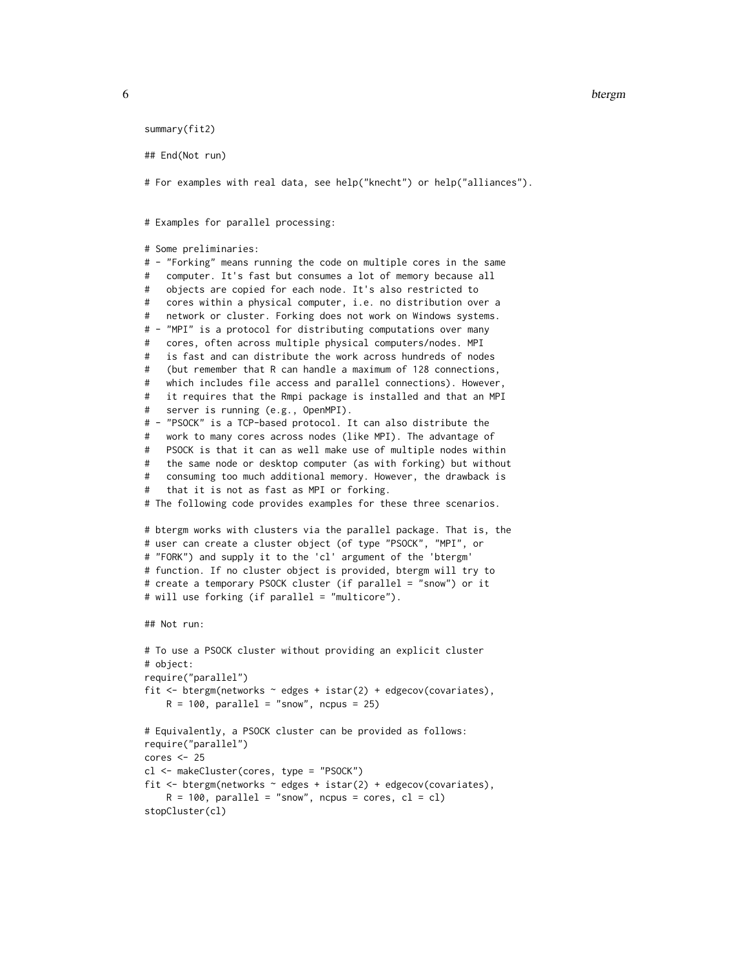```
summary(fit2)
## End(Not run)
# For examples with real data, see help("knecht") or help("alliances").
# Examples for parallel processing:
# Some preliminaries:
# - "Forking" means running the code on multiple cores in the same
# computer. It's fast but consumes a lot of memory because all
# objects are copied for each node. It's also restricted to
# cores within a physical computer, i.e. no distribution over a
# network or cluster. Forking does not work on Windows systems.
# - "MPI" is a protocol for distributing computations over many
# cores, often across multiple physical computers/nodes. MPI
# is fast and can distribute the work across hundreds of nodes
# (but remember that R can handle a maximum of 128 connections,
# which includes file access and parallel connections). However,
# it requires that the Rmpi package is installed and that an MPI
# server is running (e.g., OpenMPI).
# - "PSOCK" is a TCP-based protocol. It can also distribute the
# work to many cores across nodes (like MPI). The advantage of
# PSOCK is that it can as well make use of multiple nodes within
# the same node or desktop computer (as with forking) but without
# consuming too much additional memory. However, the drawback is
# that it is not as fast as MPI or forking.
# The following code provides examples for these three scenarios.
# btergm works with clusters via the parallel package. That is, the
# user can create a cluster object (of type "PSOCK", "MPI", or
# "FORK") and supply it to the 'cl' argument of the 'btergm'
# function. If no cluster object is provided, btergm will try to
# create a temporary PSOCK cluster (if parallel = "snow") or it
# will use forking (if parallel = "multicore").
## Not run:
# To use a PSOCK cluster without providing an explicit cluster
# object:
require("parallel")
fit <- btergm(networks ~ edges + istar(2) + edgecov(covariates),
    R = 100, parallel = "snow", ncpus = 25)
# Equivalently, a PSOCK cluster can be provided as follows:
require("parallel")
cores < - 25cl <- makeCluster(cores, type = "PSOCK")
fit \leq btergm(networks \sim edges + istar(2) + edgecov(covariates),
    R = 100, parallel = "snow", ncpus = cores, cl = cl)
stopCluster(cl)
```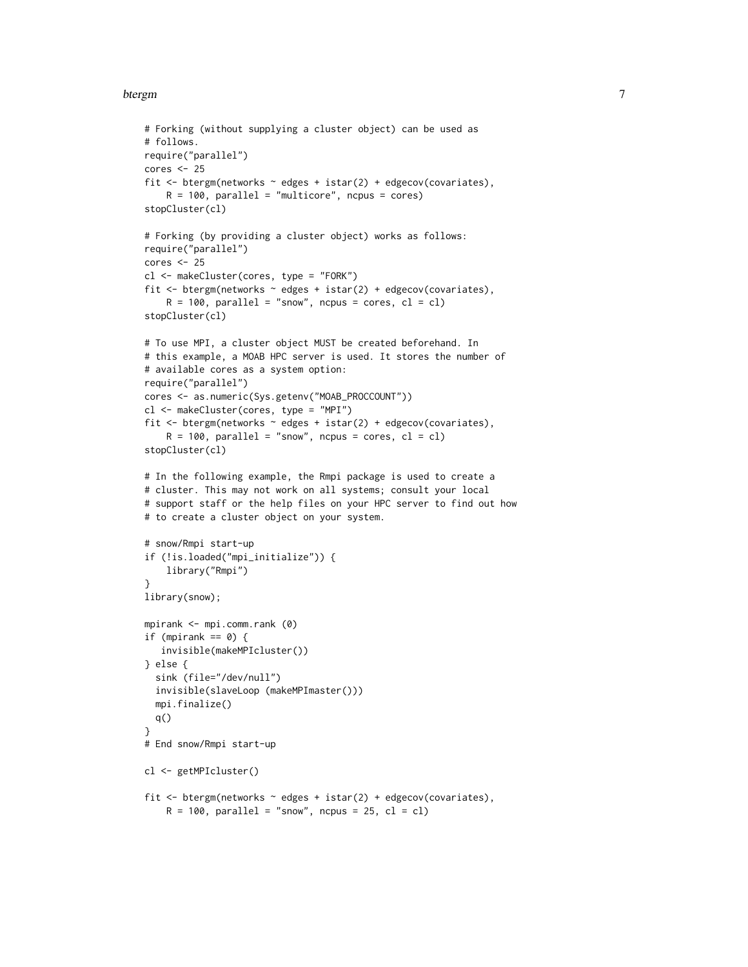#### btergm  $\sim$  7 and 2008  $\sim$  7 and 2008  $\sim$  7 and 2008  $\sim$  7 and 2008  $\sim$  7 and 2008  $\sim$  7 and 2008  $\sim$  7 and 2008  $\sim$  7 and 2008  $\sim$  7 and 2008  $\sim$  7 and 2008  $\sim$  7 and 2008  $\sim$  7 and 2008  $\sim$  7 and 2008  $\sim$  7

```
# Forking (without supplying a cluster object) can be used as
# follows.
require("parallel")
cores <- 25
fit <- btergm(networks ~ edges + istar(2) + edgecov(covariates),
    R = 100, parallel = "multicore", ncpus = cores)
stopCluster(cl)
# Forking (by providing a cluster object) works as follows:
require("parallel")
cores <- 25
cl <- makeCluster(cores, type = "FORK")
fit \le btergm(networks \sim edges + istar(2) + edgecov(covariates),
    R = 100, parallel = "snow", ncpus = cores, cl = cl)
stopCluster(cl)
# To use MPI, a cluster object MUST be created beforehand. In
# this example, a MOAB HPC server is used. It stores the number of
# available cores as a system option:
require("parallel")
cores <- as.numeric(Sys.getenv("MOAB_PROCCOUNT"))
cl <- makeCluster(cores, type = "MPI")
fit <- btergm(networks ~ edges + istar(2) + edgecov(covariates),
    R = 100, parallel = "snow", ncpus = cores, cl = cl)
stopCluster(cl)
# In the following example, the Rmpi package is used to create a
# cluster. This may not work on all systems; consult your local
# support staff or the help files on your HPC server to find out how
# to create a cluster object on your system.
# snow/Rmpi start-up
if (!is.loaded("mpi_initialize")) {
    library("Rmpi")
}
library(snow);
mpirank <- mpi.comm.rank (0)
if (mpirank == 0) {
   invisible(makeMPIcluster())
} else {
  sink (file="/dev/null")
  invisible(slaveLoop (makeMPImaster()))
  mpi.finalize()
  q()
}
# End snow/Rmpi start-up
cl <- getMPIcluster()
fit <- btergm(networks ~ edges + istar(2) + edgecov(covariates),
    R = 100, parallel = "snow", ncpus = 25, cl = cl)
```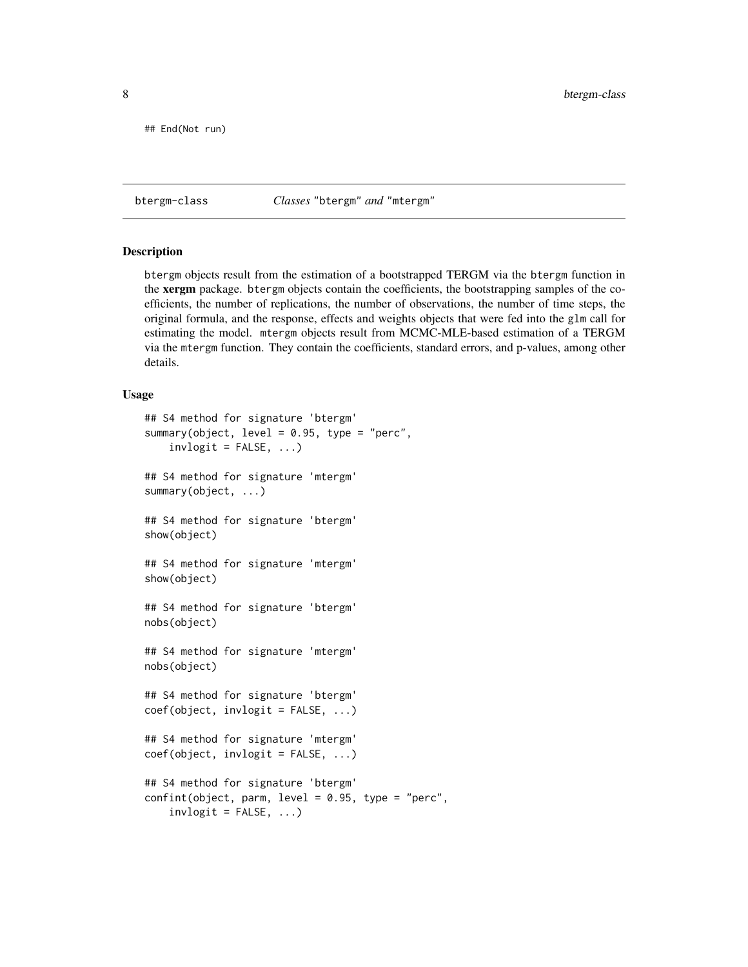<span id="page-7-0"></span>## End(Not run)

<span id="page-7-1"></span>btergm-class *Classes* "btergm" *and* "mtergm"

#### <span id="page-7-2"></span>**Description**

btergm objects result from the estimation of a bootstrapped TERGM via the btergm function in the xergm package. btergm objects contain the coefficients, the bootstrapping samples of the coefficients, the number of replications, the number of observations, the number of time steps, the original formula, and the response, effects and weights objects that were fed into the glm call for estimating the model. mtergm objects result from MCMC-MLE-based estimation of a TERGM via the mtergm function. They contain the coefficients, standard errors, and p-values, among other details.

#### Usage

```
## S4 method for signature 'btergm'
summary(object, level = 0.95, type = "perc",
    invlogit = FALSE, ...)## S4 method for signature 'mtergm'
summary(object, ...)
## S4 method for signature 'btergm'
show(object)
## S4 method for signature 'mtergm'
show(object)
## S4 method for signature 'btergm'
nobs(object)
## S4 method for signature 'mtergm'
nobs(object)
## S4 method for signature 'btergm'
coef(object, invlogit = FALSE, ...)## S4 method for signature 'mtergm'
coef(object, invlogit = FALSE, ...)## S4 method for signature 'btergm'
confint(object, parm, level = 0.95, type = "perc",invlogit = FALSE, ...
```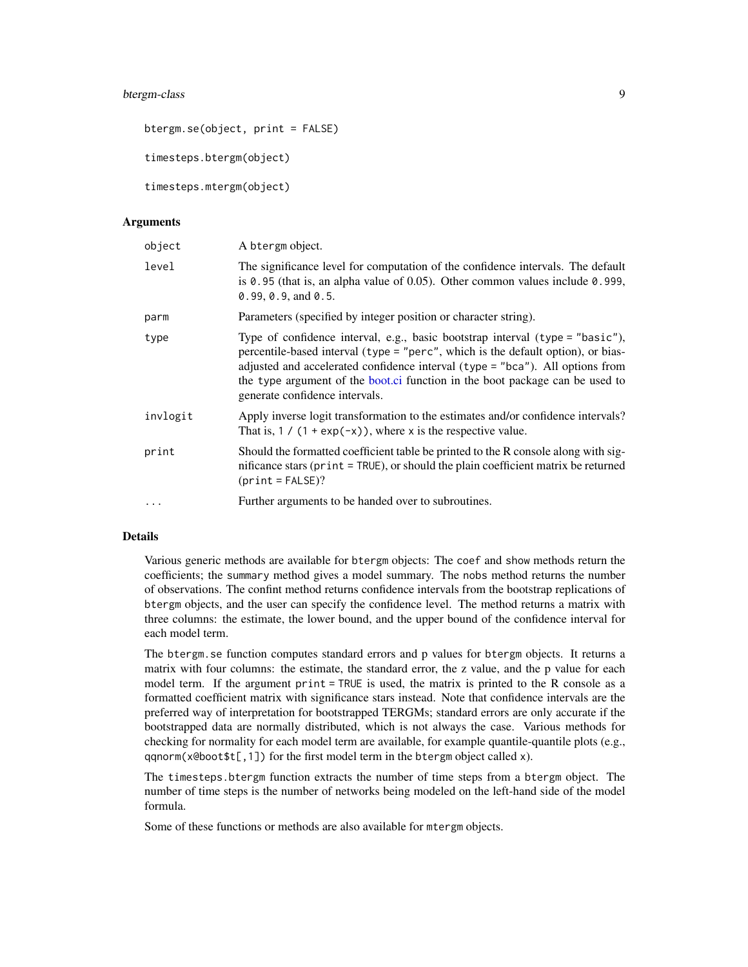#### <span id="page-8-0"></span>btergm-class 9

btergm.se(object, print = FALSE) timesteps.btergm(object)

timesteps.mtergm(object)

#### Arguments

| object   | A btergm object.                                                                                                                                                                                                                                                                                                                                                     |
|----------|----------------------------------------------------------------------------------------------------------------------------------------------------------------------------------------------------------------------------------------------------------------------------------------------------------------------------------------------------------------------|
| level    | The significance level for computation of the confidence intervals. The default<br>is $\theta$ . 95 (that is, an alpha value of 0.05). Other common values include $\theta$ . 999,<br>$0.99, 0.9,$ and $0.5$ .                                                                                                                                                       |
| parm     | Parameters (specified by integer position or character string).                                                                                                                                                                                                                                                                                                      |
| type     | Type of confidence interval, e.g., basic bootstrap interval (type = "basic"),<br>percentile-based interval (type = "perc", which is the default option), or bias-<br>adjusted and accelerated confidence interval (type = "bca"). All options from<br>the type argument of the boot.ci function in the boot package can be used to<br>generate confidence intervals. |
| invlogit | Apply inverse logit transformation to the estimates and/or confidence intervals?<br>That is, $1 / (1 + \exp(-x))$ , where x is the respective value.                                                                                                                                                                                                                 |
| print    | Should the formatted coefficient table be printed to the R console along with sig-<br>nificance stars (print = TRUE), or should the plain coefficient matrix be returned<br>$(print = FALSE)?$                                                                                                                                                                       |
| $\cdots$ | Further arguments to be handed over to subroutines.                                                                                                                                                                                                                                                                                                                  |

#### Details

Various generic methods are available for btergm objects: The coef and show methods return the coefficients; the summary method gives a model summary. The nobs method returns the number of observations. The confint method returns confidence intervals from the bootstrap replications of btergm objects, and the user can specify the confidence level. The method returns a matrix with three columns: the estimate, the lower bound, and the upper bound of the confidence interval for each model term.

The btergm.se function computes standard errors and p values for btergm objects. It returns a matrix with four columns: the estimate, the standard error, the z value, and the p value for each model term. If the argument print = TRUE is used, the matrix is printed to the R console as a formatted coefficient matrix with significance stars instead. Note that confidence intervals are the preferred way of interpretation for bootstrapped TERGMs; standard errors are only accurate if the bootstrapped data are normally distributed, which is not always the case. Various methods for checking for normality for each model term are available, for example quantile-quantile plots (e.g., qqnorm(x@boot\$t[,1]) for the first model term in the btergm object called x).

The timesteps.btergm function extracts the number of time steps from a btergm object. The number of time steps is the number of networks being modeled on the left-hand side of the model formula.

Some of these functions or methods are also available for mtergm objects.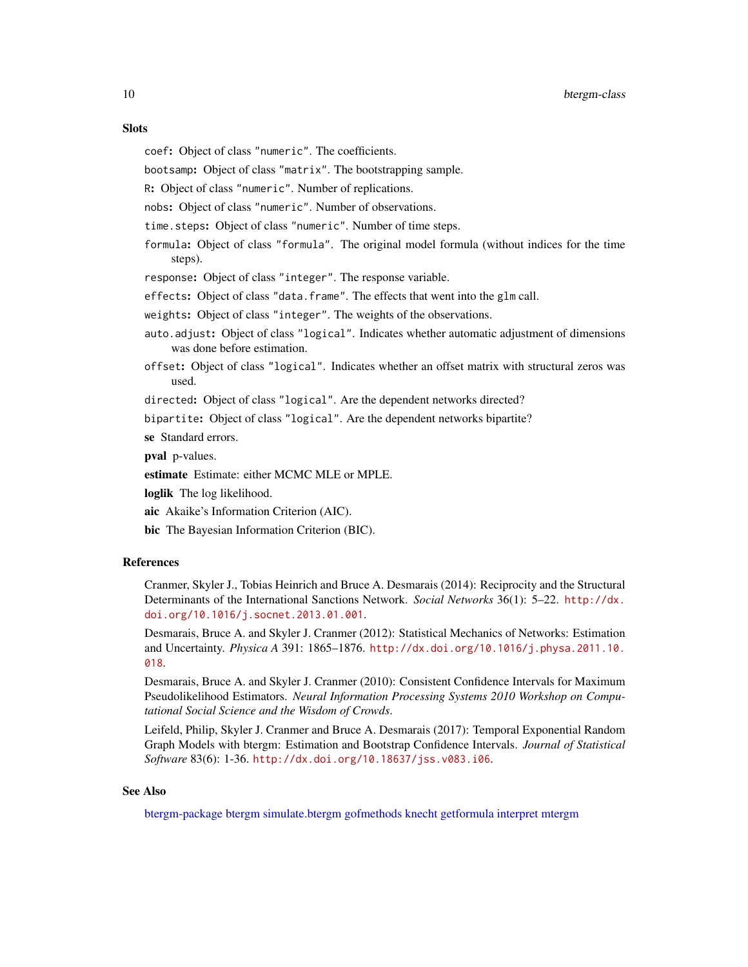#### <span id="page-9-0"></span>**Slots**

- coef: Object of class "numeric". The coefficients.
- bootsamp: Object of class "matrix". The bootstrapping sample.
- R: Object of class "numeric". Number of replications.
- nobs: Object of class "numeric". Number of observations.
- time.steps: Object of class "numeric". Number of time steps.
- formula: Object of class "formula". The original model formula (without indices for the time steps).
- response: Object of class "integer". The response variable.
- effects: Object of class "data.frame". The effects that went into the glm call.
- weights: Object of class "integer". The weights of the observations.
- auto.adjust: Object of class "logical". Indicates whether automatic adjustment of dimensions was done before estimation.
- offset: Object of class "logical". Indicates whether an offset matrix with structural zeros was used.
- directed: Object of class "logical". Are the dependent networks directed?

bipartite: Object of class "logical". Are the dependent networks bipartite?

se Standard errors.

pval p-values.

estimate Estimate: either MCMC MLE or MPLE.

loglik The log likelihood.

aic Akaike's Information Criterion (AIC).

bic The Bayesian Information Criterion (BIC).

#### **References**

Cranmer, Skyler J., Tobias Heinrich and Bruce A. Desmarais (2014): Reciprocity and the Structural Determinants of the International Sanctions Network. *Social Networks* 36(1): 5–22. [http://dx.](http://dx.doi.org/10.1016/j.socnet.2013.01.001) [doi.org/10.1016/j.socnet.2013.01.001](http://dx.doi.org/10.1016/j.socnet.2013.01.001).

Desmarais, Bruce A. and Skyler J. Cranmer (2012): Statistical Mechanics of Networks: Estimation and Uncertainty. *Physica A* 391: 1865–1876. [http://dx.doi.org/10.1016/j.physa.2011.10.](http://dx.doi.org/10.1016/j.physa.2011.10.018) [018](http://dx.doi.org/10.1016/j.physa.2011.10.018).

Desmarais, Bruce A. and Skyler J. Cranmer (2010): Consistent Confidence Intervals for Maximum Pseudolikelihood Estimators. *Neural Information Processing Systems 2010 Workshop on Computational Social Science and the Wisdom of Crowds*.

Leifeld, Philip, Skyler J. Cranmer and Bruce A. Desmarais (2017): Temporal Exponential Random Graph Models with btergm: Estimation and Bootstrap Confidence Intervals. *Journal of Statistical Software* 83(6): 1-36. <http://dx.doi.org/10.18637/jss.v083.i06>.

#### See Also

[btergm-package](#page-1-1) [btergm](#page-2-1) [simulate.btergm](#page-37-1) [gofmethods](#page-13-1) [knecht](#page-0-0) [getformula](#page-13-2) [interpret](#page-29-1) [mtergm](#page-2-2)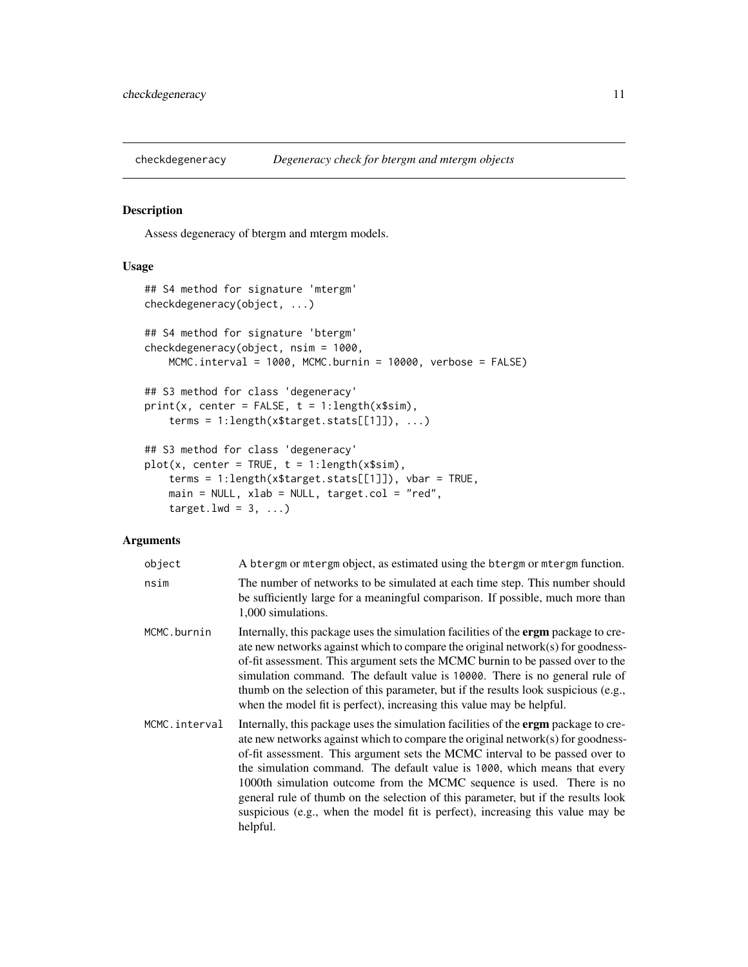<span id="page-10-1"></span><span id="page-10-0"></span>

#### Description

Assess degeneracy of btergm and mtergm models.

#### Usage

```
## S4 method for signature 'mtergm'
checkdegeneracy(object, ...)
## S4 method for signature 'btergm'
checkdegeneracy(object, nsim = 1000,
   MCMC.interval = 1000, MCMC.burnin = 10000, verbose = FALSE)
## S3 method for class 'degeneracy'
print(x, center = FALSE, t = 1:length(x$sim),terms = 1:length(x$target.stats[[1]]), ...)
## S3 method for class 'degeneracy'
plot(x, center = TRUE, t = 1:length(x$sim),terms = 1:length(x$target.stats[[1]]), vbar = TRUE,
   main = NULL, xlab = NULL, target.col = "red",
    target.lwd = 3, ...)
```
#### Arguments

| object        | A btergm or mtergm object, as estimated using the btergm or mtergm function.                                                                                                                                                                                                                                                                                                                                                                                                                                                                                                                           |
|---------------|--------------------------------------------------------------------------------------------------------------------------------------------------------------------------------------------------------------------------------------------------------------------------------------------------------------------------------------------------------------------------------------------------------------------------------------------------------------------------------------------------------------------------------------------------------------------------------------------------------|
| nsim          | The number of networks to be simulated at each time step. This number should<br>be sufficiently large for a meaningful comparison. If possible, much more than<br>1,000 simulations.                                                                                                                                                                                                                                                                                                                                                                                                                   |
| MCMC.burnin   | Internally, this package uses the simulation facilities of the <b>ergm</b> package to cre-<br>ate new networks against which to compare the original network(s) for goodness-<br>of-fit assessment. This argument sets the MCMC burnin to be passed over to the<br>simulation command. The default value is 10000. There is no general rule of<br>thumb on the selection of this parameter, but if the results look suspicious (e.g.,<br>when the model fit is perfect), increasing this value may be helpful.                                                                                         |
| MCMC.interval | Internally, this package uses the simulation facilities of the <b>ergm</b> package to cre-<br>ate new networks against which to compare the original network(s) for goodness-<br>of-fit assessment. This argument sets the MCMC interval to be passed over to<br>the simulation command. The default value is 1000, which means that every<br>1000th simulation outcome from the MCMC sequence is used. There is no<br>general rule of thumb on the selection of this parameter, but if the results look<br>suspicious (e.g., when the model fit is perfect), increasing this value may be<br>helpful. |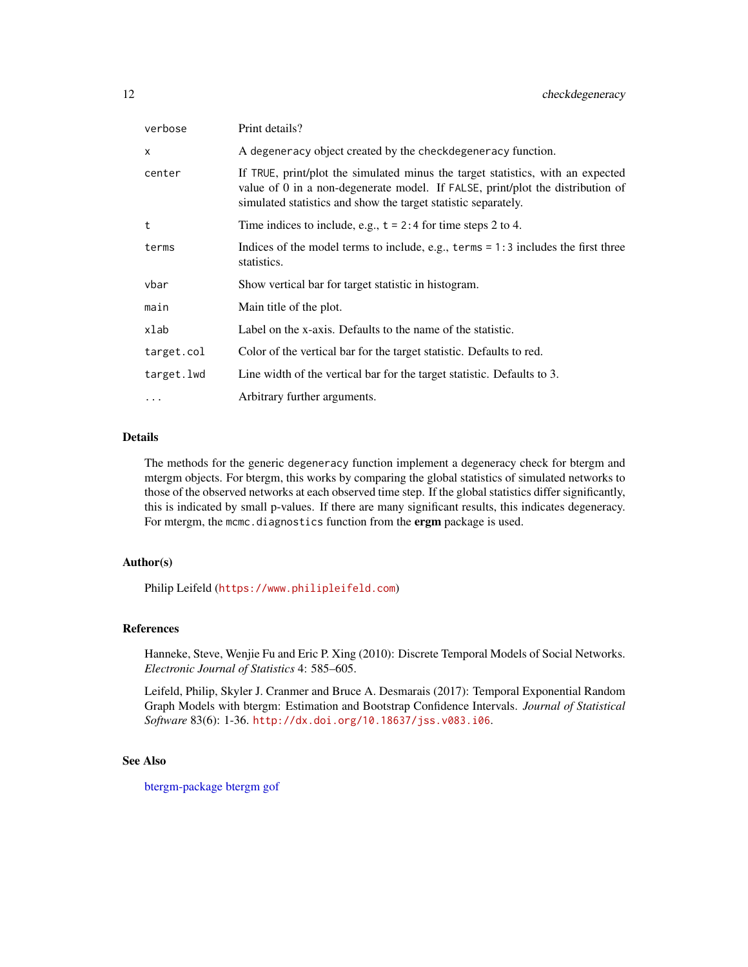<span id="page-11-0"></span>

| verbose    | Print details?                                                                                                                                                                                                                      |
|------------|-------------------------------------------------------------------------------------------------------------------------------------------------------------------------------------------------------------------------------------|
| X          | A degeneracy object created by the checkdegeneracy function.                                                                                                                                                                        |
| center     | If TRUE, print/plot the simulated minus the target statistics, with an expected<br>value of 0 in a non-degenerate model. If FALSE, print/plot the distribution of<br>simulated statistics and show the target statistic separately. |
| t          | Time indices to include, e.g., $t = 2:4$ for time steps 2 to 4.                                                                                                                                                                     |
| terms      | Indices of the model terms to include, e.g., $\text{terms} = 1:3$ includes the first three<br>statistics.                                                                                                                           |
| vbar       | Show vertical bar for target statistic in histogram.                                                                                                                                                                                |
| main       | Main title of the plot.                                                                                                                                                                                                             |
| xlab       | Label on the x-axis. Defaults to the name of the statistic.                                                                                                                                                                         |
| target.col | Color of the vertical bar for the target statistic. Defaults to red.                                                                                                                                                                |
| target.lwd | Line width of the vertical bar for the target statistic. Defaults to 3.                                                                                                                                                             |
| .          | Arbitrary further arguments.                                                                                                                                                                                                        |

#### Details

The methods for the generic degeneracy function implement a degeneracy check for btergm and mtergm objects. For btergm, this works by comparing the global statistics of simulated networks to those of the observed networks at each observed time step. If the global statistics differ significantly, this is indicated by small p-values. If there are many significant results, this indicates degeneracy. For mtergm, the mcmc.diagnostics function from the ergm package is used.

#### Author(s)

Philip Leifeld (<https://www.philipleifeld.com>)

#### References

Hanneke, Steve, Wenjie Fu and Eric P. Xing (2010): Discrete Temporal Models of Social Networks. *Electronic Journal of Statistics* 4: 585–605.

Leifeld, Philip, Skyler J. Cranmer and Bruce A. Desmarais (2017): Temporal Exponential Random Graph Models with btergm: Estimation and Bootstrap Confidence Intervals. *Journal of Statistical Software* 83(6): 1-36. <http://dx.doi.org/10.18637/jss.v083.i06>.

#### See Also

[btergm-package](#page-1-1) [btergm](#page-2-1) [gof](#page-13-1)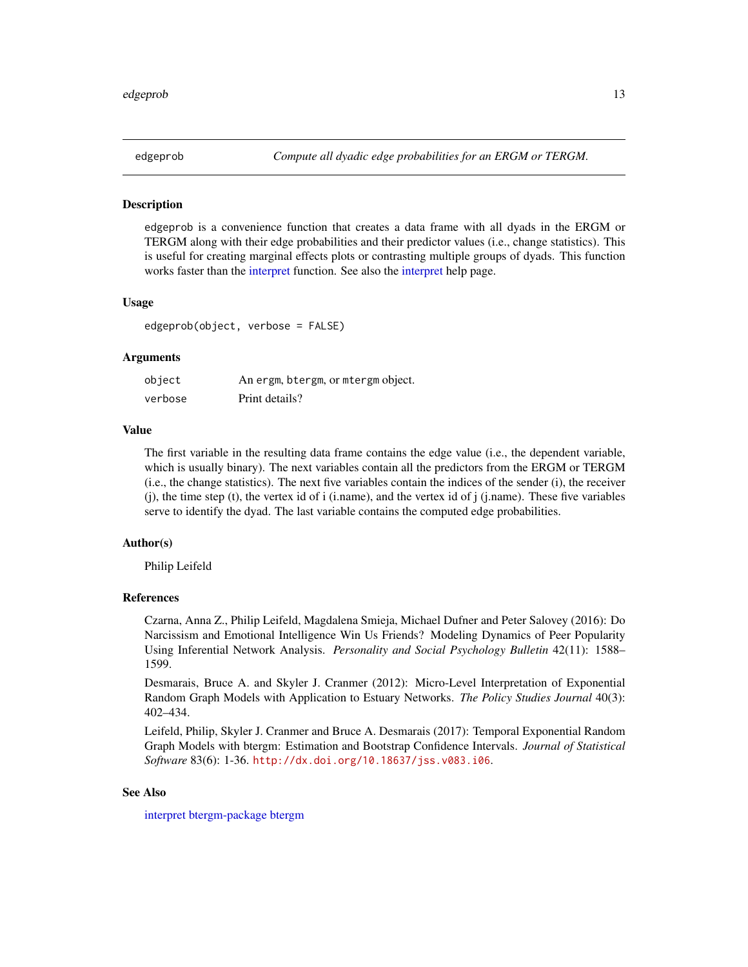<span id="page-12-1"></span><span id="page-12-0"></span>

#### **Description**

edgeprob is a convenience function that creates a data frame with all dyads in the ERGM or TERGM along with their edge probabilities and their predictor values (i.e., change statistics). This is useful for creating marginal effects plots or contrasting multiple groups of dyads. This function works faster than the [interpret](#page-29-1) function. See also the [interpret](#page-29-1) help page.

#### Usage

edgeprob(object, verbose = FALSE)

#### Arguments

| object  | An ergm, btergm, or mtergm object. |
|---------|------------------------------------|
| verbose | Print details?                     |

#### Value

The first variable in the resulting data frame contains the edge value (i.e., the dependent variable, which is usually binary). The next variables contain all the predictors from the ERGM or TERGM (i.e., the change statistics). The next five variables contain the indices of the sender (i), the receiver (j), the time step (t), the vertex id of i (i.name), and the vertex id of j (j.name). These five variables serve to identify the dyad. The last variable contains the computed edge probabilities.

#### Author(s)

Philip Leifeld

### References

Czarna, Anna Z., Philip Leifeld, Magdalena Smieja, Michael Dufner and Peter Salovey (2016): Do Narcissism and Emotional Intelligence Win Us Friends? Modeling Dynamics of Peer Popularity Using Inferential Network Analysis. *Personality and Social Psychology Bulletin* 42(11): 1588– 1599.

Desmarais, Bruce A. and Skyler J. Cranmer (2012): Micro-Level Interpretation of Exponential Random Graph Models with Application to Estuary Networks. *The Policy Studies Journal* 40(3): 402–434.

Leifeld, Philip, Skyler J. Cranmer and Bruce A. Desmarais (2017): Temporal Exponential Random Graph Models with btergm: Estimation and Bootstrap Confidence Intervals. *Journal of Statistical Software* 83(6): 1-36. <http://dx.doi.org/10.18637/jss.v083.i06>.

#### See Also

[interpret](#page-29-1) [btergm-package](#page-1-1) [btergm](#page-2-1)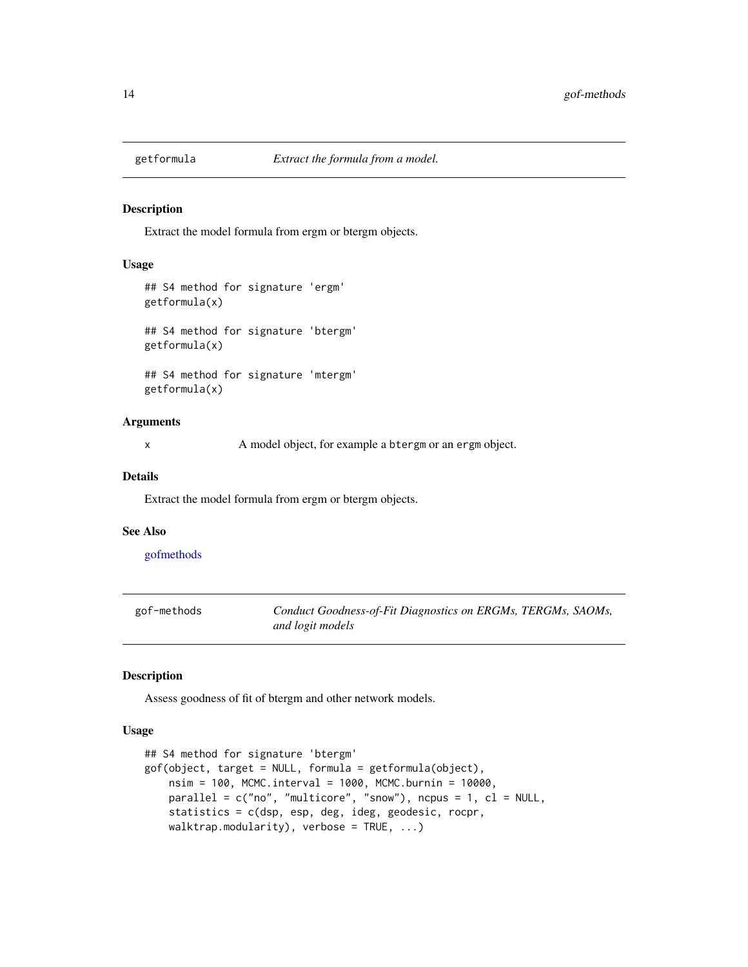<span id="page-13-2"></span><span id="page-13-0"></span>

#### Description

Extract the model formula from ergm or btergm objects.

#### Usage

```
## S4 method for signature 'ergm'
getformula(x)
## S4 method for signature 'btergm'
getformula(x)
```
## S4 method for signature 'mtergm' getformula(x)

#### Arguments

x A model object, for example a btergm or an ergm object.

#### Details

Extract the model formula from ergm or btergm objects.

#### See Also

[gofmethods](#page-13-1)

<span id="page-13-3"></span>

| gof-methods | Conduct Goodness-of-Fit Diagnostics on ERGMs, TERGMs, SAOMs, |
|-------------|--------------------------------------------------------------|
|             | and logit models                                             |

#### <span id="page-13-1"></span>Description

Assess goodness of fit of btergm and other network models.

#### Usage

```
## S4 method for signature 'btergm'
gof(object, target = NULL, formula = getformula(object),
   nsim = 100, MCMC.interval = 1000, MCMC.burnin = 10000,
   parallel = c("no", "multicore", "snow"), ncpus = 1, cl = NULL,statistics = c(dsp, esp, deg, ideg, geodesic, rocpr,
   walktrap.modularity), verbose = TRUE, ...)
```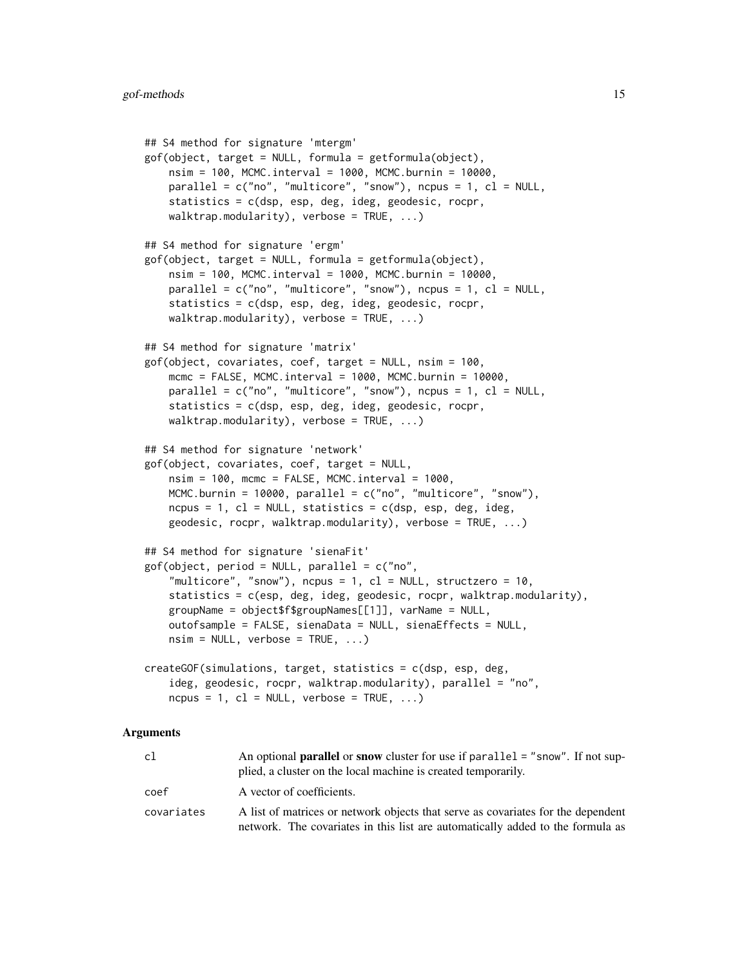```
## S4 method for signature 'mtergm'
gof(object, target = NULL, formula = getformula(object),nsim = 100, MCMC.interval = 1000, MCMC.burnin = 10000,
   parallel = c("no", "multicore", "snow"), ncpus = 1, cl = NULL,statistics = c(dsp, esp, deg, ideg, geodesic, rocpr,
   walktrap.modularity), verbose = TRUE, ...)
## S4 method for signature 'ergm'
gof(object, target = NULL, formula = getformula(object),
   nsim = 100, MCMC.interval = 1000, MCMC.burnin = 10000,
   parallel = c("no", "multicore", "snow"), ncpus = 1, cl = NULL,statistics = c(dsp, esp, deg, ideg, geodesic, rocpr,
   walktrap.modularity), verbose = TRUE, ...)
## S4 method for signature 'matrix'
gof(object, covariates, coef, target = NULL, nsim = 100,
   mcmc = FALSE, MCMC.interval = 1000, MCMC.burnin = 10000,
   parallel = c("no", "multicore", "snow"), ncpus = 1, cl = NULL,statistics = c(dsp, esp, deg, ideg, geodesic, rocpr,
   walktrap.modularity), verbose = TRUE, ...)
## S4 method for signature 'network'
gof(object, covariates, coef, target = NULL,
   nsim = 100, mcmc = FALSE, MCMC.interval = 1000,
   MCMC.burnin = 10000, parallel = c("no", "multicore", "snow"),ncpus = 1, cl = NULL, statistics = c(dsp, esp, deg, ideg,
    geodesic, rocpr, walktrap.modularity), verbose = TRUE, ...)
## S4 method for signature 'sienaFit'
gof(object, period = NULL, parallel = c("no","multicore", "snow"), nopus = 1, cl = NULL, structzero = 10,
    statistics = c(esp, deg, ideg, geodesic, rocpr, walktrap.modularity),
   groupName = object$f$groupNames[[1]], varName = NULL,
   outofsample = FALSE, sienaData = NULL, sienaEffects = NULL,
   nsim = NULL, verbose = TRUE, ...)
createGOF(simulations, target, statistics = c(dsp, esp, deg,
    ideg, geodesic, rocpr, walktrap.modularity), parallel = "no",
   ncpus = 1, cl = NULL, verbose = TRUE, ...)
```
#### Arguments

| c1         | An optional <b>parallel</b> or <b>snow</b> cluster for use if parallel = "snow". If not sup-<br>plied, a cluster on the local machine is created temporarily.      |
|------------|--------------------------------------------------------------------------------------------------------------------------------------------------------------------|
| coef       | A vector of coefficients.                                                                                                                                          |
| covariates | A list of matrices or network objects that serve as covariates for the dependent<br>network. The covariates in this list are automatically added to the formula as |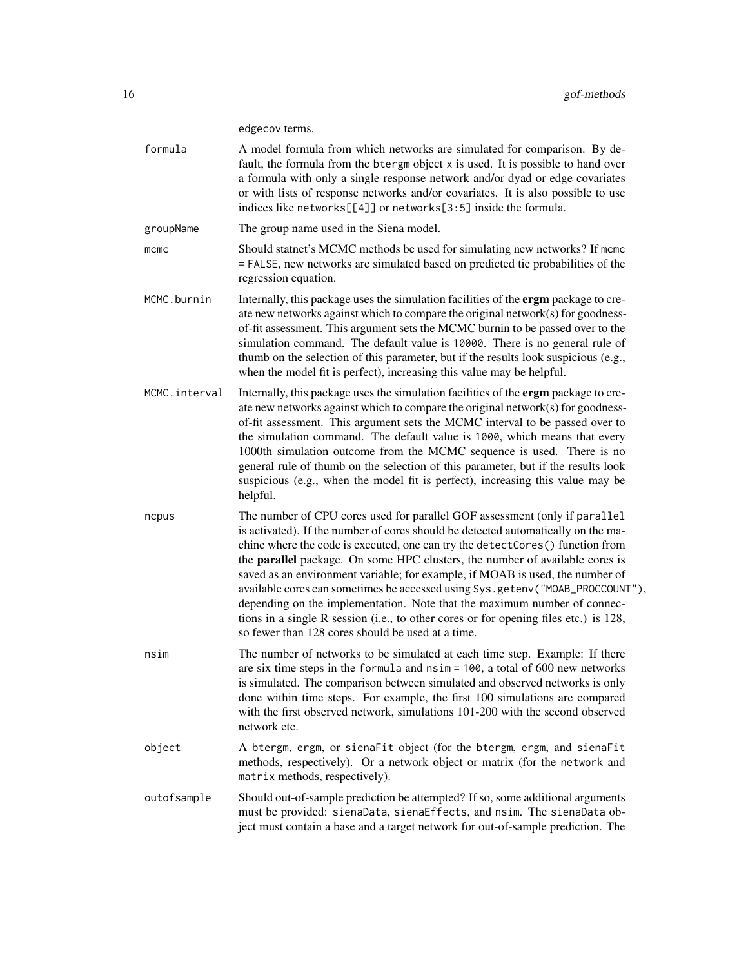edgecov terms.

| formula       | A model formula from which networks are simulated for comparison. By de-<br>fault, the formula from the btergm object x is used. It is possible to hand over<br>a formula with only a single response network and/or dyad or edge covariates<br>or with lists of response networks and/or covariates. It is also possible to use<br>indices like networks[[4]] or networks[3:5] inside the formula.                                                                                                                                                                                                                                                                                                                         |
|---------------|-----------------------------------------------------------------------------------------------------------------------------------------------------------------------------------------------------------------------------------------------------------------------------------------------------------------------------------------------------------------------------------------------------------------------------------------------------------------------------------------------------------------------------------------------------------------------------------------------------------------------------------------------------------------------------------------------------------------------------|
| groupName     | The group name used in the Siena model.                                                                                                                                                                                                                                                                                                                                                                                                                                                                                                                                                                                                                                                                                     |
| $m$ cmc       | Should statnet's MCMC methods be used for simulating new networks? If mcmc<br>= FALSE, new networks are simulated based on predicted tie probabilities of the<br>regression equation.                                                                                                                                                                                                                                                                                                                                                                                                                                                                                                                                       |
| MCMC.burnin   | Internally, this package uses the simulation facilities of the ergm package to cre-<br>ate new networks against which to compare the original network(s) for goodness-<br>of-fit assessment. This argument sets the MCMC burnin to be passed over to the<br>simulation command. The default value is 10000. There is no general rule of<br>thumb on the selection of this parameter, but if the results look suspicious (e.g.,<br>when the model fit is perfect), increasing this value may be helpful.                                                                                                                                                                                                                     |
| MCMC.interval | Internally, this package uses the simulation facilities of the ergm package to cre-<br>ate new networks against which to compare the original network(s) for goodness-<br>of-fit assessment. This argument sets the MCMC interval to be passed over to<br>the simulation command. The default value is 1000, which means that every<br>1000th simulation outcome from the MCMC sequence is used. There is no<br>general rule of thumb on the selection of this parameter, but if the results look<br>suspicious (e.g., when the model fit is perfect), increasing this value may be<br>helpful.                                                                                                                             |
| ncpus         | The number of CPU cores used for parallel GOF assessment (only if parallel<br>is activated). If the number of cores should be detected automatically on the ma-<br>chine where the code is executed, one can try the detectCores() function from<br>the parallel package. On some HPC clusters, the number of available cores is<br>saved as an environment variable; for example, if MOAB is used, the number of<br>available cores can sometimes be accessed using Sys.getenv("MOAB_PROCCOUNT"),<br>depending on the implementation. Note that the maximum number of connec-<br>tions in a single R session (i.e., to other cores or for opening files etc.) is 128,<br>so fewer than 128 cores should be used at a time. |
| nsim          | The number of networks to be simulated at each time step. Example: If there<br>are six time steps in the formula and $nsim = 100$ , a total of 600 new networks<br>is simulated. The comparison between simulated and observed networks is only<br>done within time steps. For example, the first 100 simulations are compared<br>with the first observed network, simulations 101-200 with the second observed<br>network etc.                                                                                                                                                                                                                                                                                             |
| object        | A btergm, ergm, or sienaFit object (for the btergm, ergm, and sienaFit<br>methods, respectively). Or a network object or matrix (for the network and<br>matrix methods, respectively).                                                                                                                                                                                                                                                                                                                                                                                                                                                                                                                                      |
| outofsample   | Should out-of-sample prediction be attempted? If so, some additional arguments<br>must be provided: sienaData, sienaEffects, and nsim. The sienaData ob-<br>ject must contain a base and a target network for out-of-sample prediction. The                                                                                                                                                                                                                                                                                                                                                                                                                                                                                 |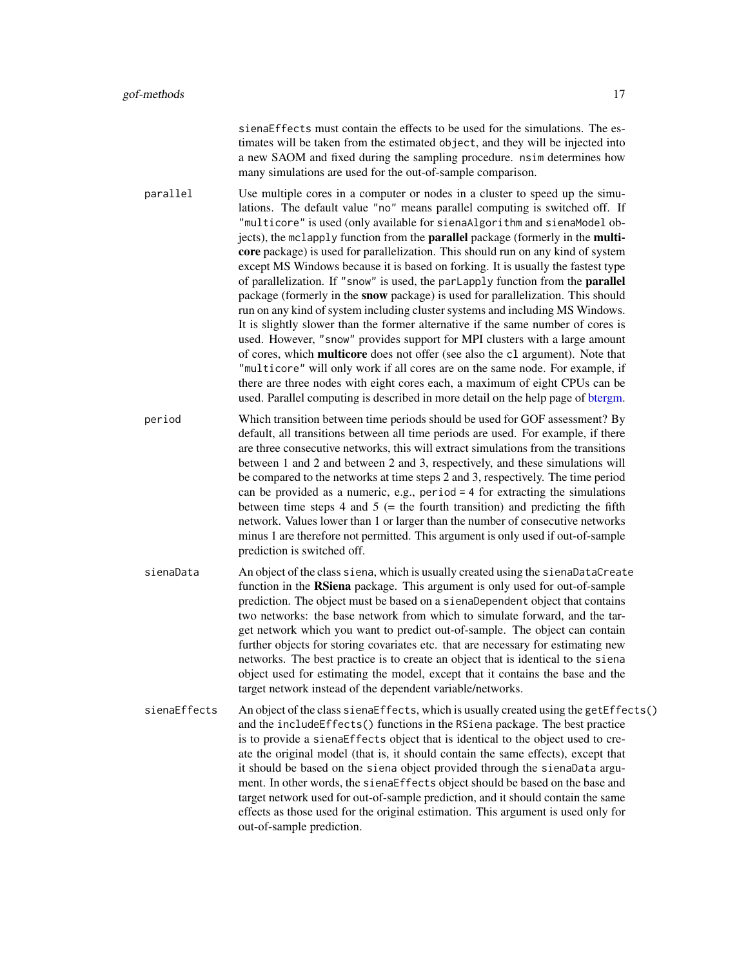sienaEffects must contain the effects to be used for the simulations. The estimates will be taken from the estimated object, and they will be injected into a new SAOM and fixed during the sampling procedure. nsim determines how many simulations are used for the out-of-sample comparison.

- <span id="page-16-0"></span>parallel Use multiple cores in a computer or nodes in a cluster to speed up the simulations. The default value "no" means parallel computing is switched off. If "multicore" is used (only available for sienaAlgorithm and sienaModel objects), the mclapply function from the **parallel** package (formerly in the **multi**core package) is used for parallelization. This should run on any kind of system except MS Windows because it is based on forking. It is usually the fastest type of parallelization. If "snow" is used, the parLapply function from the parallel package (formerly in the snow package) is used for parallelization. This should run on any kind of system including cluster systems and including MS Windows. It is slightly slower than the former alternative if the same number of cores is used. However, "snow" provides support for MPI clusters with a large amount of cores, which multicore does not offer (see also the cl argument). Note that "multicore" will only work if all cores are on the same node. For example, if there are three nodes with eight cores each, a maximum of eight CPUs can be used. Parallel computing is described in more detail on the help page of [btergm.](#page-2-1)
- period Which transition between time periods should be used for GOF assessment? By default, all transitions between all time periods are used. For example, if there are three consecutive networks, this will extract simulations from the transitions between 1 and 2 and between 2 and 3, respectively, and these simulations will be compared to the networks at time steps 2 and 3, respectively. The time period can be provided as a numeric, e.g., period  $=$  4 for extracting the simulations between time steps 4 and 5 ( $=$  the fourth transition) and predicting the fifth network. Values lower than 1 or larger than the number of consecutive networks minus 1 are therefore not permitted. This argument is only used if out-of-sample prediction is switched off.
- sienaData An object of the class siena, which is usually created using the sienaDataCreate function in the **RSiena** package. This argument is only used for out-of-sample prediction. The object must be based on a sienaDependent object that contains two networks: the base network from which to simulate forward, and the target network which you want to predict out-of-sample. The object can contain further objects for storing covariates etc. that are necessary for estimating new networks. The best practice is to create an object that is identical to the siena object used for estimating the model, except that it contains the base and the target network instead of the dependent variable/networks.
- sienaEffects An object of the class sienaEffects, which is usually created using the getEffects() and the includeEffects() functions in the RSiena package. The best practice is to provide a sienaEffects object that is identical to the object used to create the original model (that is, it should contain the same effects), except that it should be based on the siena object provided through the sienaData argument. In other words, the sienaEffects object should be based on the base and target network used for out-of-sample prediction, and it should contain the same effects as those used for the original estimation. This argument is used only for out-of-sample prediction.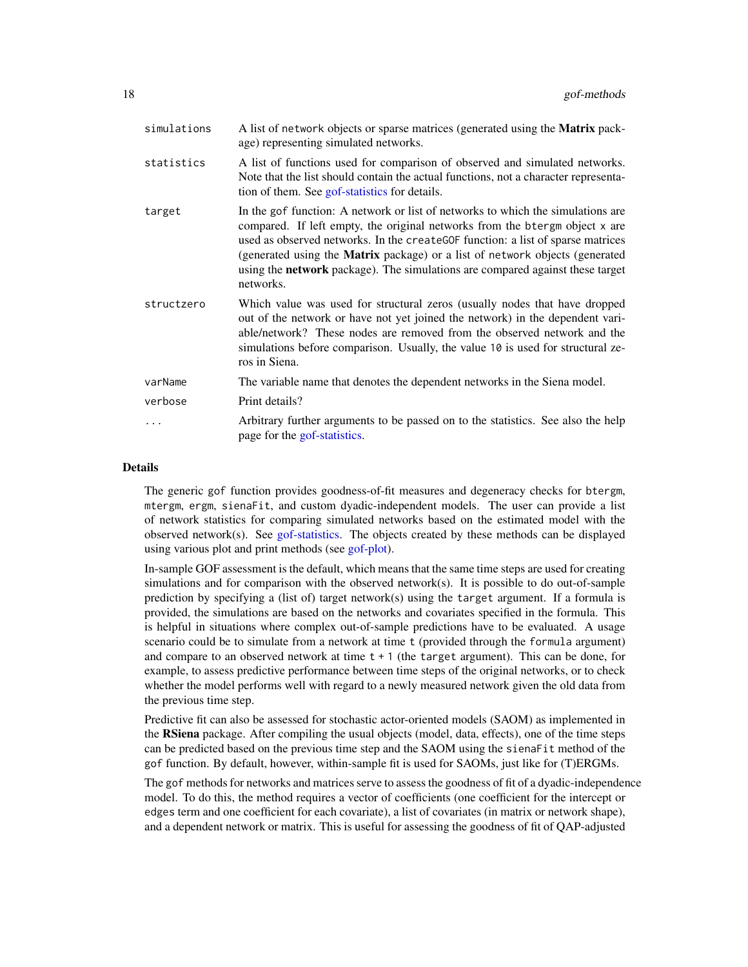<span id="page-17-0"></span>

| simulations | A list of network objects or sparse matrices (generated using the <b>Matrix</b> pack-<br>age) representing simulated networks.                                                                                                                                                                                                                                                                                                  |
|-------------|---------------------------------------------------------------------------------------------------------------------------------------------------------------------------------------------------------------------------------------------------------------------------------------------------------------------------------------------------------------------------------------------------------------------------------|
| statistics  | A list of functions used for comparison of observed and simulated networks.<br>Note that the list should contain the actual functions, not a character representa-<br>tion of them. See gof-statistics for details.                                                                                                                                                                                                             |
| target      | In the gof function: A network or list of networks to which the simulations are<br>compared. If left empty, the original networks from the btergm object x are<br>used as observed networks. In the createGOF function: a list of sparse matrices<br>(generated using the Matrix package) or a list of network objects (generated<br>using the network package). The simulations are compared against these target<br>networks. |
| structzero  | Which value was used for structural zeros (usually nodes that have dropped<br>out of the network or have not yet joined the network) in the dependent vari-<br>able/network? These nodes are removed from the observed network and the<br>simulations before comparison. Usually, the value 10 is used for structural ze-<br>ros in Siena.                                                                                      |
| varName     | The variable name that denotes the dependent networks in the Siena model.                                                                                                                                                                                                                                                                                                                                                       |
| verbose     | Print details?                                                                                                                                                                                                                                                                                                                                                                                                                  |
| $\cdots$    | Arbitrary further arguments to be passed on to the statistics. See also the help<br>page for the gof-statistics.                                                                                                                                                                                                                                                                                                                |

#### Details

The generic gof function provides goodness-of-fit measures and degeneracy checks for btergm, mtergm, ergm, sienaFit, and custom dyadic-independent models. The user can provide a list of network statistics for comparing simulated networks based on the estimated model with the observed network(s). See [gof-statistics.](#page-23-1) The objects created by these methods can be displayed using various plot and print methods (see [gof-plot\)](#page-19-1).

In-sample GOF assessment is the default, which means that the same time steps are used for creating simulations and for comparison with the observed network $(s)$ . It is possible to do out-of-sample prediction by specifying a (list of) target network(s) using the target argument. If a formula is provided, the simulations are based on the networks and covariates specified in the formula. This is helpful in situations where complex out-of-sample predictions have to be evaluated. A usage scenario could be to simulate from a network at time t (provided through the formula argument) and compare to an observed network at time  $t + 1$  (the target argument). This can be done, for example, to assess predictive performance between time steps of the original networks, or to check whether the model performs well with regard to a newly measured network given the old data from the previous time step.

Predictive fit can also be assessed for stochastic actor-oriented models (SAOM) as implemented in the RSiena package. After compiling the usual objects (model, data, effects), one of the time steps can be predicted based on the previous time step and the SAOM using the sienaFit method of the gof function. By default, however, within-sample fit is used for SAOMs, just like for (T)ERGMs.

The gof methods for networks and matrices serve to assess the goodness of fit of a dyadic-independence model. To do this, the method requires a vector of coefficients (one coefficient for the intercept or edges term and one coefficient for each covariate), a list of covariates (in matrix or network shape), and a dependent network or matrix. This is useful for assessing the goodness of fit of QAP-adjusted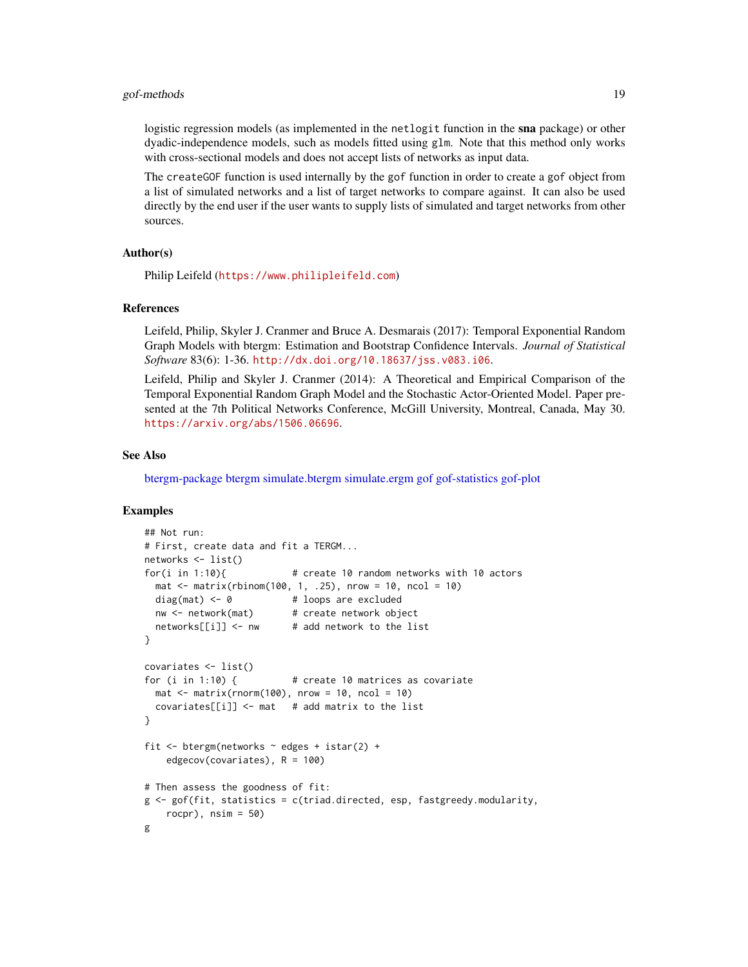#### <span id="page-18-0"></span>gof-methods 19

logistic regression models (as implemented in the netlogit function in the sna package) or other dyadic-independence models, such as models fitted using glm. Note that this method only works with cross-sectional models and does not accept lists of networks as input data.

The createGOF function is used internally by the gof function in order to create a gof object from a list of simulated networks and a list of target networks to compare against. It can also be used directly by the end user if the user wants to supply lists of simulated and target networks from other sources.

#### Author(s)

Philip Leifeld (<https://www.philipleifeld.com>)

#### References

Leifeld, Philip, Skyler J. Cranmer and Bruce A. Desmarais (2017): Temporal Exponential Random Graph Models with btergm: Estimation and Bootstrap Confidence Intervals. *Journal of Statistical Software* 83(6): 1-36. <http://dx.doi.org/10.18637/jss.v083.i06>.

Leifeld, Philip and Skyler J. Cranmer (2014): A Theoretical and Empirical Comparison of the Temporal Exponential Random Graph Model and the Stochastic Actor-Oriented Model. Paper presented at the 7th Political Networks Conference, McGill University, Montreal, Canada, May 30. <https://arxiv.org/abs/1506.06696>.

#### See Also

[btergm-package](#page-1-1) [btergm](#page-2-1) [simulate.btergm](#page-37-1) [simulate.ergm](#page-0-0) [gof](#page-13-1) [gof-statistics](#page-23-1) [gof-plot](#page-19-1)

#### Examples

```
## Not run:
# First, create data and fit a TERGM...
networks <- list()
for(i in 1:10){ # create 10 random networks with 10 actors
 mat \le matrix(rbinom(100, 1, .25), nrow = 10, ncol = 10)
 diag(mat) <- 0 + loops are excluded
 nw <- network(mat) # create network object
 networks[[i]] \leftarrow nw # add network to the list
}
covariates <- list()
for (i in 1:10) { \# create 10 matrices as covariate
 mat \le matrix(rnorm(100), nrow = 10, ncol = 10)
 covariates[[i]] <- mat # add matrix to the list
}
fit \leq btergm(networks \sim edges + istar(2) +
   edgecov(covariates), R = 100)
# Then assess the goodness of fit:
g <- gof(fit, statistics = c(triad.directed, esp, fastgreedy.modularity,
   rocpr), nsim = 50g
```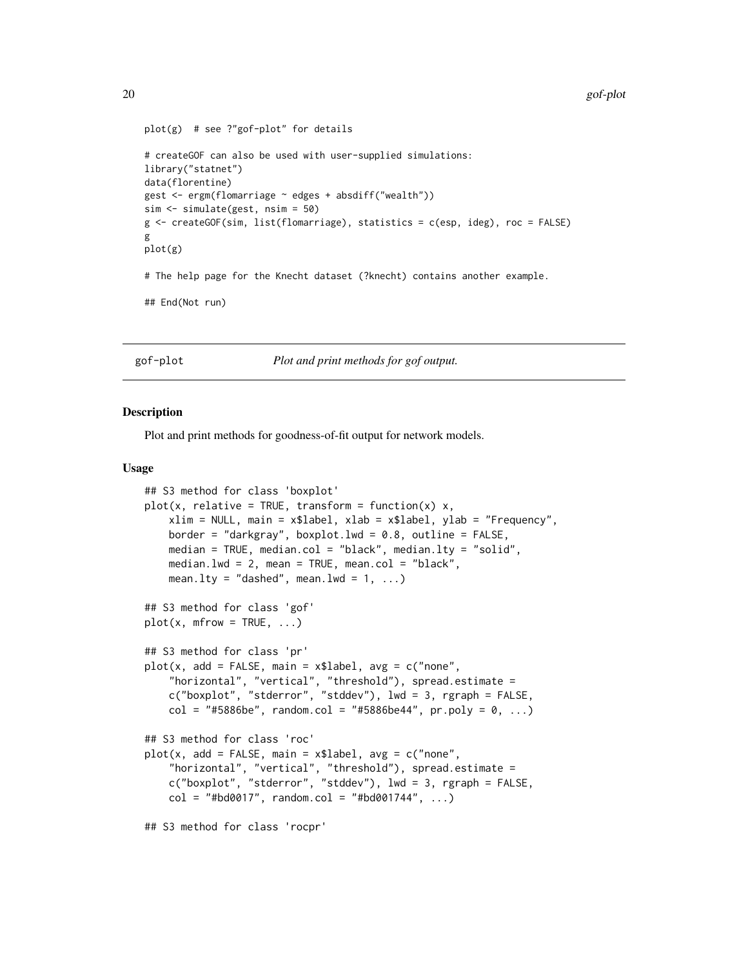```
plot(g) # see ?"gof-plot" for details
# createGOF can also be used with user-supplied simulations:
library("statnet")
data(florentine)
gest <- ergm(flomarriage ~ edges + absdiff("wealth"))
sim <- simulate(gest, nsim = 50)
g <- createGOF(sim, list(flomarriage), statistics = c(esp, ideg), roc = FALSE)
g
plot(g)
# The help page for the Knecht dataset (?knecht) contains another example.
## End(Not run)
```
<span id="page-19-1"></span>gof-plot *Plot and print methods for gof output.*

#### Description

Plot and print methods for goodness-of-fit output for network models.

#### Usage

```
## S3 method for class 'boxplot'
plot(x, relative = TRUE, transform = function(x) x,xlim = NULL, main = x$label, xlab = x$label, ylab = "Frequency",
   border = "darkgray", boxplot.lwd = 0.8, outline = FALSE,
   median = TRUE, median.col = "black", median.lty = "solid",
   median.lwd = 2, mean = TRUE, mean.col = "black",
   mean.lty = "dashed", mean.lwd = 1, ...)
## S3 method for class 'gof'
plot(x, mfrom = TRUE, ...)## S3 method for class 'pr'
plot(x, add = FALSE, main = x$label, avg = c("none","horizontal", "vertical", "threshold"), spread.estimate =
   c("boxplot", "stderror", "stddev"), lwd = 3, rgraph = FALSE,
   col = "#5886be", random.col = "#5886be44", pr.poly = 0, ...)
## S3 method for class 'roc'
plot(x, add = FALSE, main = x$label, avg = c("none","horizontal", "vertical", "threshold"), spread.estimate =
   c("boxplot", "stderror", "stddev"), lwd = 3, rgraph = FALSE,
   col = "#bd0017", random.col = "#bd001744", ...)
## S3 method for class 'rocpr'
```
<span id="page-19-0"></span>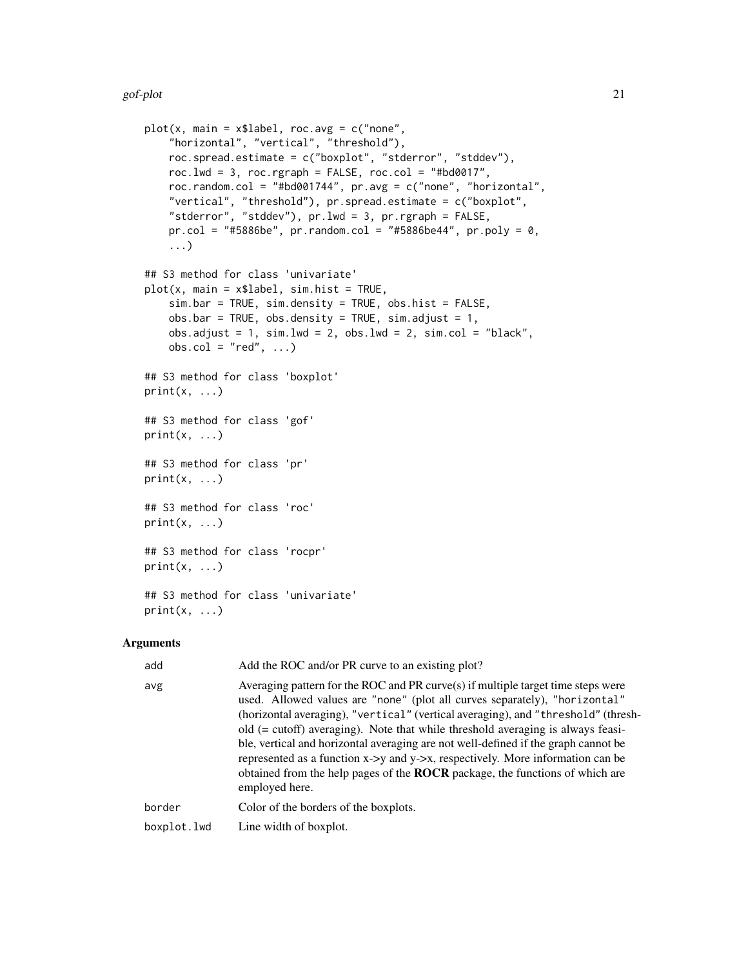```
plot(x, main = x$label, roc.avg = c("none","horizontal", "vertical", "threshold"),
    roc.spread.estimate = c("boxplot", "stderror", "stddev"),
    roc.lwd = 3, roc.rgraph = FALSE, roc.col = "#bd0017",
    roc.random.col = "#bd001744", pr.avg = c("none", "horizontal",
    "vertical", "threshold"), pr.spread.estimate = c("boxplot",
    "stderror", "stddev"), pr.lwd = 3, pr.rgraph = FALSE,
    pr.col = "#5886be", pr.random.co1 = "#5886be44", pr.poly = 0,...)
## S3 method for class 'univariate'
plot(x, main = x$label, sim.hist = TRUE,sim.bar = TRUE, sim.density = TRUE, obs.hist = FALSE,
    obsbar = TRUE, obs.density = TRUE, sim. adjust = 1,
    obs.addjust = 1, sim.Wd = 2, obs.Wd = 2, sim.col = "black",obs.col = "red", ...)## S3 method for class 'boxplot'
print(x, \ldots)## S3 method for class 'gof'
print(x, \ldots)## S3 method for class 'pr'
print(x, \ldots)## S3 method for class 'roc'
print(x, \ldots)## S3 method for class 'rocpr'
print(x, \ldots)## S3 method for class 'univariate'
print(x, \ldots)
```
#### Arguments

| add         | Add the ROC and/or PR curve to an existing plot?                                                                                                                                                                                                                                                                                                                                                                                                                                                                                                                                                                             |
|-------------|------------------------------------------------------------------------------------------------------------------------------------------------------------------------------------------------------------------------------------------------------------------------------------------------------------------------------------------------------------------------------------------------------------------------------------------------------------------------------------------------------------------------------------------------------------------------------------------------------------------------------|
| avg         | Averaging pattern for the ROC and PR curve $(s)$ if multiple target time steps were<br>used. Allowed values are "none" (plot all curves separately), "horizontal"<br>(horizontal averaging), "vertical" (vertical averaging), and "threshold" (thresh-<br>old $(= cutoff)$ averaging). Note that while threshold averaging is always feasi-<br>ble, vertical and horizontal averaging are not well-defined if the graph cannot be<br>represented as a function x->y and y->x, respectively. More information can be<br>obtained from the help pages of the <b>ROCR</b> package, the functions of which are<br>employed here. |
| border      | Color of the borders of the boxplots.                                                                                                                                                                                                                                                                                                                                                                                                                                                                                                                                                                                        |
| boxplot.lwd | Line width of boxplot.                                                                                                                                                                                                                                                                                                                                                                                                                                                                                                                                                                                                       |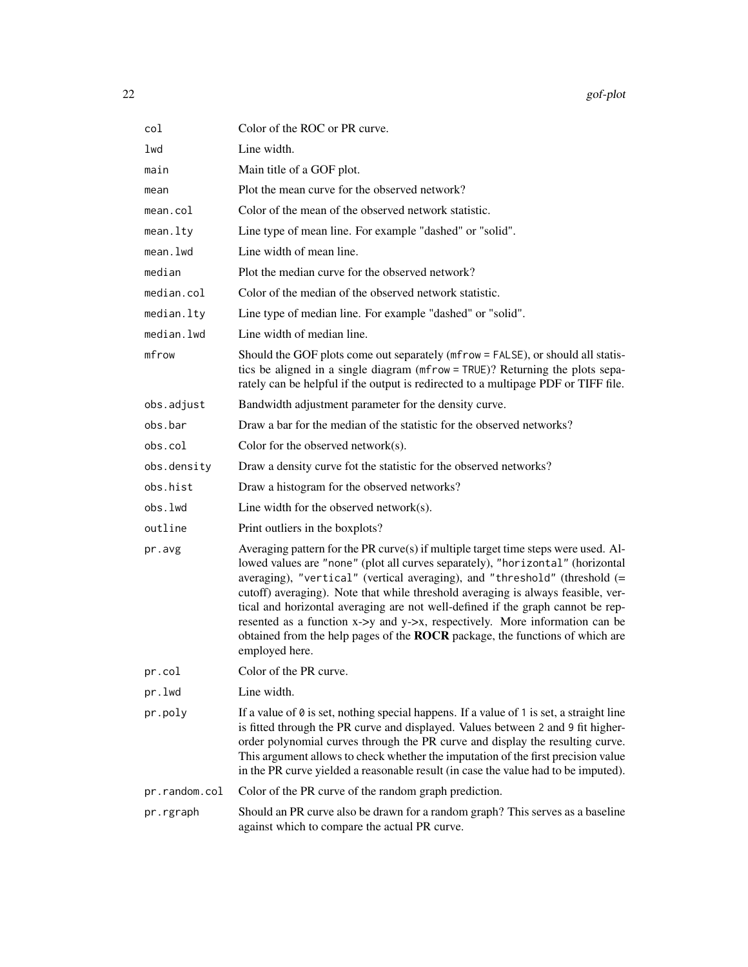| col           | Color of the ROC or PR curve.                                                                                                                                                                                                                                                                                                                                                                                                                                                                                                                                                                              |
|---------------|------------------------------------------------------------------------------------------------------------------------------------------------------------------------------------------------------------------------------------------------------------------------------------------------------------------------------------------------------------------------------------------------------------------------------------------------------------------------------------------------------------------------------------------------------------------------------------------------------------|
| lwd           | Line width.                                                                                                                                                                                                                                                                                                                                                                                                                                                                                                                                                                                                |
| main          | Main title of a GOF plot.                                                                                                                                                                                                                                                                                                                                                                                                                                                                                                                                                                                  |
| mean          | Plot the mean curve for the observed network?                                                                                                                                                                                                                                                                                                                                                                                                                                                                                                                                                              |
| mean.col      | Color of the mean of the observed network statistic.                                                                                                                                                                                                                                                                                                                                                                                                                                                                                                                                                       |
| mean.lty      | Line type of mean line. For example "dashed" or "solid".                                                                                                                                                                                                                                                                                                                                                                                                                                                                                                                                                   |
| mean.lwd      | Line width of mean line.                                                                                                                                                                                                                                                                                                                                                                                                                                                                                                                                                                                   |
| median        | Plot the median curve for the observed network?                                                                                                                                                                                                                                                                                                                                                                                                                                                                                                                                                            |
| median.col    | Color of the median of the observed network statistic.                                                                                                                                                                                                                                                                                                                                                                                                                                                                                                                                                     |
| median.lty    | Line type of median line. For example "dashed" or "solid".                                                                                                                                                                                                                                                                                                                                                                                                                                                                                                                                                 |
| median.lwd    | Line width of median line.                                                                                                                                                                                                                                                                                                                                                                                                                                                                                                                                                                                 |
| mfrow         | Should the GOF plots come out separately (mfrow = FALSE), or should all statis-<br>tics be aligned in a single diagram (mfrow = TRUE)? Returning the plots sepa-<br>rately can be helpful if the output is redirected to a multipage PDF or TIFF file.                                                                                                                                                                                                                                                                                                                                                     |
| obs.adjust    | Bandwidth adjustment parameter for the density curve.                                                                                                                                                                                                                                                                                                                                                                                                                                                                                                                                                      |
| obs.bar       | Draw a bar for the median of the statistic for the observed networks?                                                                                                                                                                                                                                                                                                                                                                                                                                                                                                                                      |
| obs.col       | Color for the observed network $(s)$ .                                                                                                                                                                                                                                                                                                                                                                                                                                                                                                                                                                     |
| obs.density   | Draw a density curve fot the statistic for the observed networks?                                                                                                                                                                                                                                                                                                                                                                                                                                                                                                                                          |
| obs.hist      | Draw a histogram for the observed networks?                                                                                                                                                                                                                                                                                                                                                                                                                                                                                                                                                                |
| obs.lwd       | Line width for the observed network $(s)$ .                                                                                                                                                                                                                                                                                                                                                                                                                                                                                                                                                                |
| outline       | Print outliers in the boxplots?                                                                                                                                                                                                                                                                                                                                                                                                                                                                                                                                                                            |
| pr.avg        | Averaging pattern for the PR curve(s) if multiple target time steps were used. Al-<br>lowed values are "none" (plot all curves separately), "horizontal" (horizontal<br>averaging), "vertical" (vertical averaging), and "threshold" (threshold (=<br>cutoff) averaging). Note that while threshold averaging is always feasible, ver-<br>tical and horizontal averaging are not well-defined if the graph cannot be rep-<br>resented as a function x->y and y->x, respectively. More information can be<br>obtained from the help pages of the ROCR package, the functions of which are<br>employed here. |
| pr.col        | Color of the PR curve.                                                                                                                                                                                                                                                                                                                                                                                                                                                                                                                                                                                     |
| pr.lwd        | Line width.                                                                                                                                                                                                                                                                                                                                                                                                                                                                                                                                                                                                |
| pr.poly       | If a value of $\theta$ is set, nothing special happens. If a value of 1 is set, a straight line<br>is fitted through the PR curve and displayed. Values between 2 and 9 fit higher-<br>order polynomial curves through the PR curve and display the resulting curve.<br>This argument allows to check whether the imputation of the first precision value<br>in the PR curve yielded a reasonable result (in case the value had to be imputed).                                                                                                                                                            |
| pr.random.col | Color of the PR curve of the random graph prediction.                                                                                                                                                                                                                                                                                                                                                                                                                                                                                                                                                      |
| pr.rgraph     | Should an PR curve also be drawn for a random graph? This serves as a baseline<br>against which to compare the actual PR curve.                                                                                                                                                                                                                                                                                                                                                                                                                                                                            |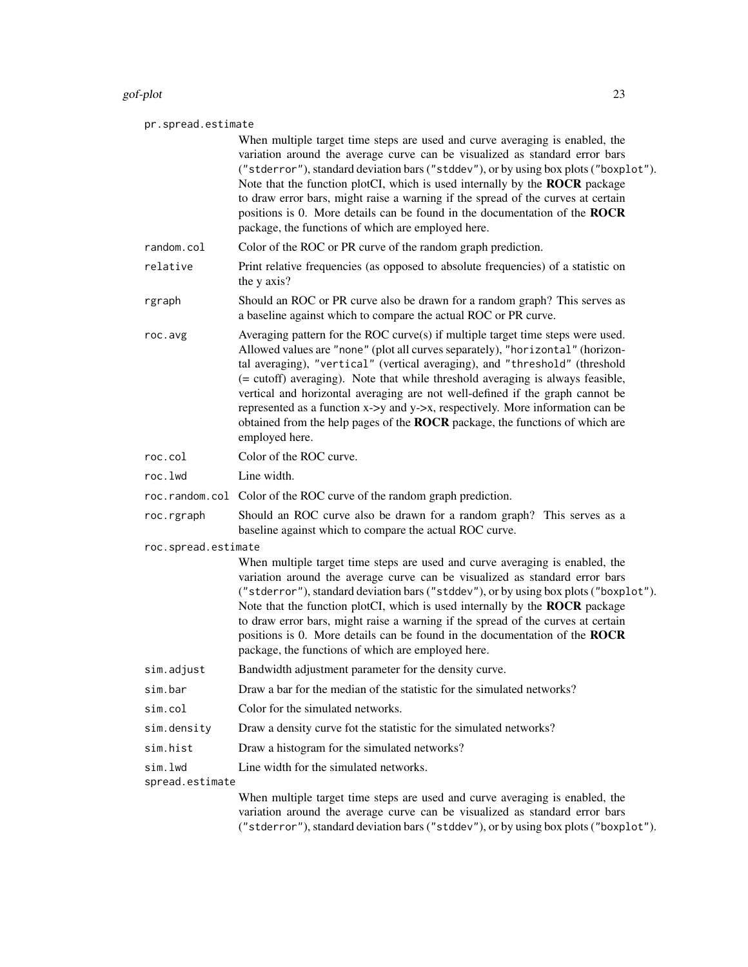#### gof-plot 23

#### pr.spread.estimate

When multiple target time steps are used and curve averaging is enabled, the variation around the average curve can be visualized as standard error bars ("stderror"), standard deviation bars ("stddev"), or by using box plots ("boxplot"). Note that the function plotCI, which is used internally by the ROCR package to draw error bars, might raise a warning if the spread of the curves at certain positions is 0. More details can be found in the documentation of the ROCR package, the functions of which are employed here. random.col Color of the ROC or PR curve of the random graph prediction. relative Print relative frequencies (as opposed to absolute frequencies) of a statistic on the y axis?

rgraph Should an ROC or PR curve also be drawn for a random graph? This serves as a baseline against which to compare the actual ROC or PR curve.

roc.avg Averaging pattern for the ROC curve(s) if multiple target time steps were used. Allowed values are "none" (plot all curves separately), "horizontal" (horizontal averaging), "vertical" (vertical averaging), and "threshold" (threshold (= cutoff) averaging). Note that while threshold averaging is always feasible, vertical and horizontal averaging are not well-defined if the graph cannot be represented as a function x->y and y->x, respectively. More information can be obtained from the help pages of the ROCR package, the functions of which are employed here.

- roc.col Color of the ROC curve.
- roc.lwd Line width.
- roc.random.col Color of the ROC curve of the random graph prediction.

roc.rgraph Should an ROC curve also be drawn for a random graph? This serves as a baseline against which to compare the actual ROC curve.

roc.spread.estimate

When multiple target time steps are used and curve averaging is enabled, the variation around the average curve can be visualized as standard error bars ("stderror"), standard deviation bars ("stddev"), or by using box plots ("boxplot"). Note that the function plotCI, which is used internally by the ROCR package to draw error bars, might raise a warning if the spread of the curves at certain positions is 0. More details can be found in the documentation of the ROCR package, the functions of which are employed here.

- sim.adjust Bandwidth adjustment parameter for the density curve.
- sim.bar Draw a bar for the median of the statistic for the simulated networks?
- sim.col Color for the simulated networks.
- sim.density Draw a density curve fot the statistic for the simulated networks?
- sim.hist Draw a histogram for the simulated networks?
- sim. 1wd Line width for the simulated networks.

spread.estimate

When multiple target time steps are used and curve averaging is enabled, the variation around the average curve can be visualized as standard error bars ("stderror"), standard deviation bars ("stddev"), or by using box plots ("boxplot").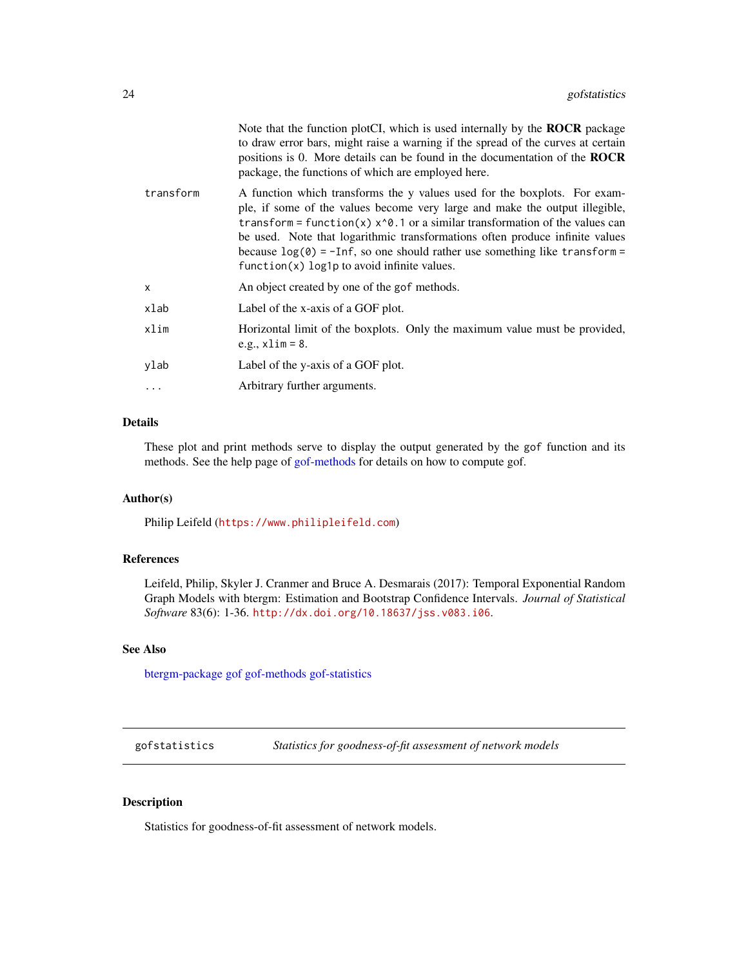<span id="page-23-0"></span>

|           | Note that the function plotCI, which is used internally by the <b>ROCR</b> package<br>to draw error bars, might raise a warning if the spread of the curves at certain<br>positions is 0. More details can be found in the documentation of the <b>ROCR</b><br>package, the functions of which are employed here.                                                                                                                                                          |
|-----------|----------------------------------------------------------------------------------------------------------------------------------------------------------------------------------------------------------------------------------------------------------------------------------------------------------------------------------------------------------------------------------------------------------------------------------------------------------------------------|
| transform | A function which transforms the y values used for the boxplots. For exam-<br>ple, if some of the values become very large and make the output illegible,<br>transform = function(x) $x^0$ . 1 or a similar transformation of the values can<br>be used. Note that logarithmic transformations often produce infinite values<br>because $\log(\theta) = -\text{Inf}$ , so one should rather use something like transform =<br>$function(x) log1p to avoid infinite values.$ |
| x         | An object created by one of the gof methods.                                                                                                                                                                                                                                                                                                                                                                                                                               |
| xlab      | Label of the x-axis of a GOF plot.                                                                                                                                                                                                                                                                                                                                                                                                                                         |
| xlim      | Horizontal limit of the boxplots. Only the maximum value must be provided,<br>e.g., $x \lim 58$ .                                                                                                                                                                                                                                                                                                                                                                          |
| ylab      | Label of the y-axis of a GOF plot.                                                                                                                                                                                                                                                                                                                                                                                                                                         |
|           | Arbitrary further arguments.                                                                                                                                                                                                                                                                                                                                                                                                                                               |
|           |                                                                                                                                                                                                                                                                                                                                                                                                                                                                            |

#### Details

These plot and print methods serve to display the output generated by the gof function and its methods. See the help page of [gof-methods](#page-13-3) for details on how to compute gof.

#### Author(s)

Philip Leifeld (<https://www.philipleifeld.com>)

#### References

Leifeld, Philip, Skyler J. Cranmer and Bruce A. Desmarais (2017): Temporal Exponential Random Graph Models with btergm: Estimation and Bootstrap Confidence Intervals. *Journal of Statistical Software* 83(6): 1-36. <http://dx.doi.org/10.18637/jss.v083.i06>.

#### See Also

[btergm-package](#page-1-1) [gof](#page-13-1) [gof-methods](#page-13-3) [gof-statistics](#page-23-1)

gofstatistics *Statistics for goodness-of-fit assessment of network models*

#### <span id="page-23-1"></span>Description

Statistics for goodness-of-fit assessment of network models.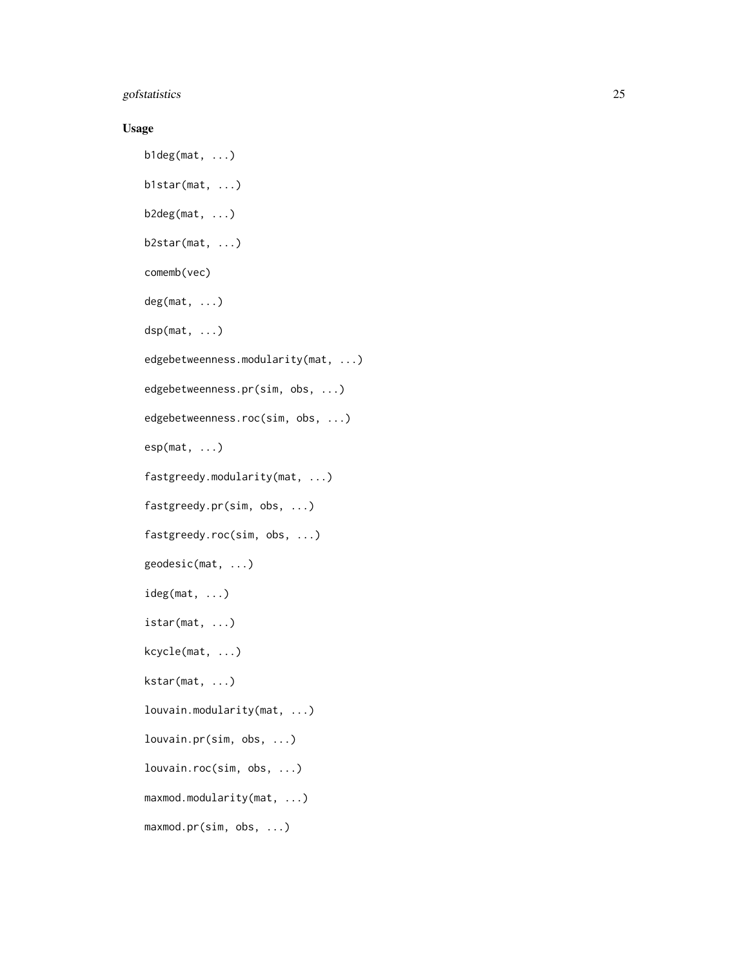#### gofstatistics 25

#### Usage

```
b1deg(mat, ...)
b1star(mat, ...)
b2deg(mat, ...)
b2star(mat, ...)
comemb(vec)
deg(mat, ...)
dsp(mat, ...)
edgebetweenness.modularity(mat, ...)
edgebetweenness.pr(sim, obs, ...)
edgebetweenness.roc(sim, obs, ...)
esp(mat, ...)
fastgreedy.modularity(mat, ...)
fastgreedy.pr(sim, obs, ...)
fastgreedy.roc(sim, obs, ...)
geodesic(mat, ...)
ideg(mat, ...)
istar(mat, ...)
kcycle(mat, ...)
kstar(mat, ...)
louvain.modularity(mat, ...)
louvain.pr(sim, obs, ...)
louvain.roc(sim, obs, ...)
maxmod.modularity(mat, ...)
maxmod.pr(sim, obs, ...)
```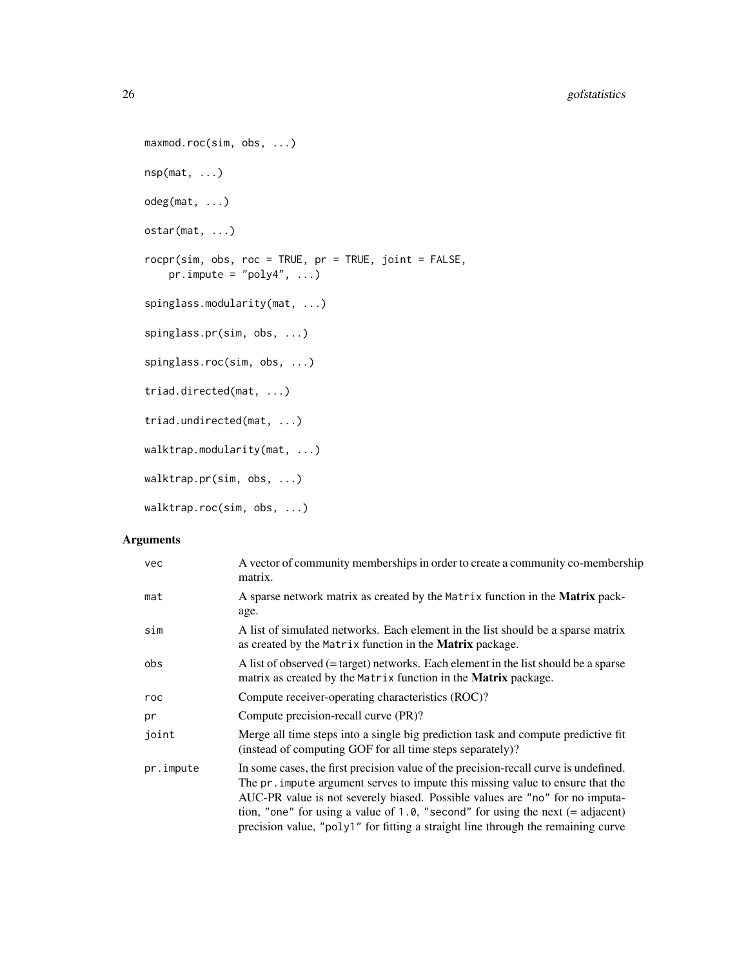```
maxmod.roc(sim, obs, ...)
nsp(mat, ...)
odeg(mat, ...)
ostar(mat, ...)
rocpr(sim, obs, roc = TRUE, pr = TRUE, joint = FALSE,
    pr . impute = "poly4", \ldots)
spinglass.modularity(mat, ...)
spinglass.pr(sim, obs, ...)
spinglass.roc(sim, obs, ...)
triad.directed(mat, ...)
triad.undirected(mat, ...)
walktrap.modularity(mat, ...)
walktrap.pr(sim, obs, ...)
walktrap.roc(sim, obs, ...)
```
#### Arguments

| vec       | A vector of community memberships in order to create a community co-membership<br>matrix.                                                                                                                                                                                                                                                                                                                                      |
|-----------|--------------------------------------------------------------------------------------------------------------------------------------------------------------------------------------------------------------------------------------------------------------------------------------------------------------------------------------------------------------------------------------------------------------------------------|
| mat       | A sparse network matrix as created by the Matrix function in the Matrix pack-<br>age.                                                                                                                                                                                                                                                                                                                                          |
| sim       | A list of simulated networks. Each element in the list should be a sparse matrix<br>as created by the Matrix function in the <b>Matrix</b> package.                                                                                                                                                                                                                                                                            |
| obs       | A list of observed $(=$ target) networks. Each element in the list should be a sparse<br>matrix as created by the Matrix function in the <b>Matrix</b> package.                                                                                                                                                                                                                                                                |
| roc       | Compute receiver-operating characteristics (ROC)?                                                                                                                                                                                                                                                                                                                                                                              |
| pr        | Compute precision-recall curve (PR)?                                                                                                                                                                                                                                                                                                                                                                                           |
| joint     | Merge all time steps into a single big prediction task and compute predictive fit<br>(instead of computing GOF for all time steps separately)?                                                                                                                                                                                                                                                                                 |
| pr.impute | In some cases, the first precision value of the precision-recall curve is undefined.<br>The pr. impute argument serves to impute this missing value to ensure that the<br>AUC-PR value is not severely biased. Possible values are "no" for no imputa-<br>tion, "one" for using a value of 1.0, "second" for using the next $(=$ adjacent)<br>precision value, "poly1" for fitting a straight line through the remaining curve |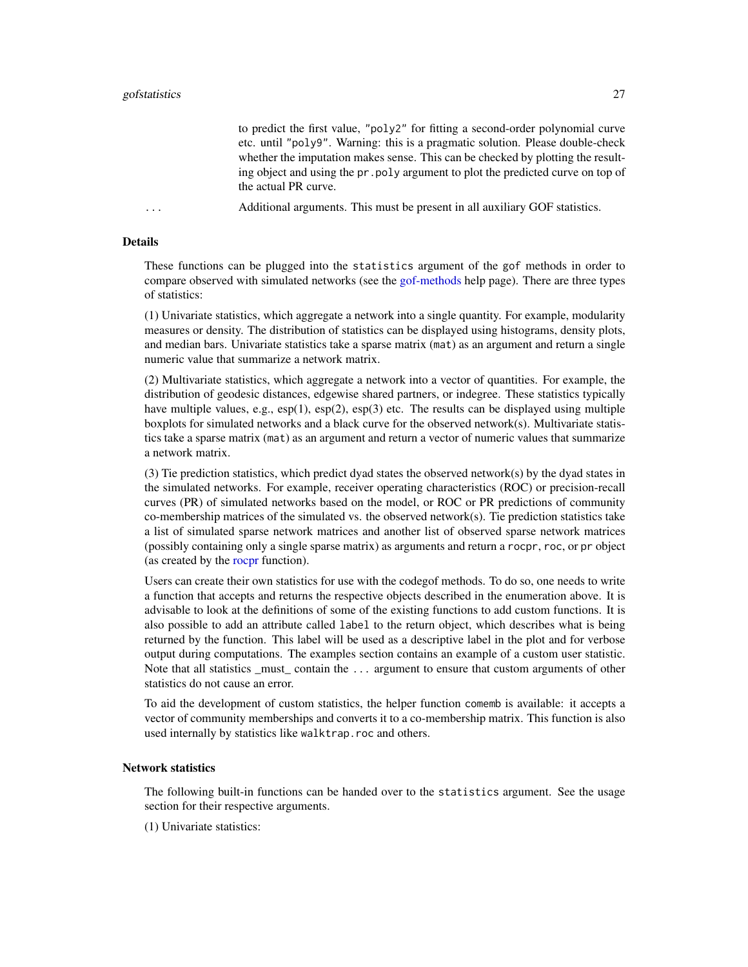to predict the first value, "poly2" for fitting a second-order polynomial curve etc. until "poly9". Warning: this is a pragmatic solution. Please double-check whether the imputation makes sense. This can be checked by plotting the resulting object and using the pr.poly argument to plot the predicted curve on top of the actual PR curve.

<span id="page-26-0"></span>... Additional arguments. This must be present in all auxiliary GOF statistics.

#### Details

These functions can be plugged into the statistics argument of the gof methods in order to compare observed with simulated networks (see the [gof-methods](#page-13-3) help page). There are three types of statistics:

(1) Univariate statistics, which aggregate a network into a single quantity. For example, modularity measures or density. The distribution of statistics can be displayed using histograms, density plots, and median bars. Univariate statistics take a sparse matrix (mat) as an argument and return a single numeric value that summarize a network matrix.

(2) Multivariate statistics, which aggregate a network into a vector of quantities. For example, the distribution of geodesic distances, edgewise shared partners, or indegree. These statistics typically have multiple values, e.g.,  $\exp(1)$ ,  $\exp(2)$ ,  $\exp(3)$  etc. The results can be displayed using multiple boxplots for simulated networks and a black curve for the observed network(s). Multivariate statistics take a sparse matrix (mat) as an argument and return a vector of numeric values that summarize a network matrix.

(3) Tie prediction statistics, which predict dyad states the observed network(s) by the dyad states in the simulated networks. For example, receiver operating characteristics (ROC) or precision-recall curves (PR) of simulated networks based on the model, or ROC or PR predictions of community co-membership matrices of the simulated vs. the observed network(s). Tie prediction statistics take a list of simulated sparse network matrices and another list of observed sparse network matrices (possibly containing only a single sparse matrix) as arguments and return a rocpr, roc, or pr object (as created by the [rocpr](#page-23-1) function).

Users can create their own statistics for use with the codegof methods. To do so, one needs to write a function that accepts and returns the respective objects described in the enumeration above. It is advisable to look at the definitions of some of the existing functions to add custom functions. It is also possible to add an attribute called label to the return object, which describes what is being returned by the function. This label will be used as a descriptive label in the plot and for verbose output during computations. The examples section contains an example of a custom user statistic. Note that all statistics \_must\_ contain the ... argument to ensure that custom arguments of other statistics do not cause an error.

To aid the development of custom statistics, the helper function comemb is available: it accepts a vector of community memberships and converts it to a co-membership matrix. This function is also used internally by statistics like walktrap.roc and others.

#### Network statistics

The following built-in functions can be handed over to the statistics argument. See the usage section for their respective arguments.

(1) Univariate statistics: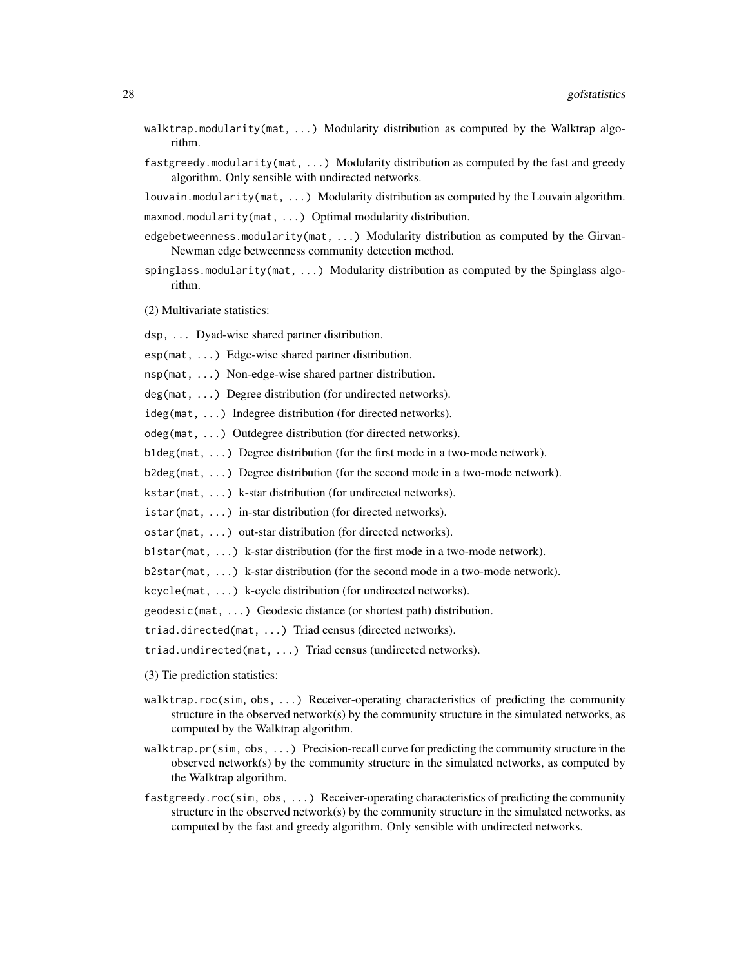- walktrap.modularity(mat, ...) Modularity distribution as computed by the Walktrap algorithm.
- fastgreedy.modularity(mat, ...) Modularity distribution as computed by the fast and greedy algorithm. Only sensible with undirected networks.

louvain.modularity(mat, ...) Modularity distribution as computed by the Louvain algorithm.

maxmod.modularity(mat, ...) Optimal modularity distribution.

- edgebetweenness.modularity(mat, ...) Modularity distribution as computed by the Girvan-Newman edge betweenness community detection method.
- spinglass.modularity(mat, ...) Modularity distribution as computed by the Spinglass algorithm.

(2) Multivariate statistics:

dsp, ... Dyad-wise shared partner distribution.

esp(mat, ...) Edge-wise shared partner distribution.

nsp(mat, ...) Non-edge-wise shared partner distribution.

deg(mat, ...) Degree distribution (for undirected networks).

ideg(mat, ...) Indegree distribution (for directed networks).

odeg(mat, ...) Outdegree distribution (for directed networks).

b1deg(mat, ...) Degree distribution (for the first mode in a two-mode network).

b2deg(mat, ...) Degree distribution (for the second mode in a two-mode network).

kstar(mat, ...) k-star distribution (for undirected networks).

istar(mat, ...) in-star distribution (for directed networks).

ostar(mat, ...) out-star distribution (for directed networks).

b1star(mat,  $\ldots$ ) k-star distribution (for the first mode in a two-mode network).

b2star(mat, ...) k-star distribution (for the second mode in a two-mode network).

kcycle(mat, ...) k-cycle distribution (for undirected networks).

geodesic(mat, ...) Geodesic distance (or shortest path) distribution.

triad.directed(mat, ...) Triad census (directed networks).

triad.undirected(mat, ...) Triad census (undirected networks).

- (3) Tie prediction statistics:
- walktrap.roc(sim, obs, ...) Receiver-operating characteristics of predicting the community structure in the observed network(s) by the community structure in the simulated networks, as computed by the Walktrap algorithm.
- walktrap.pr(sim, obs, ...) Precision-recall curve for predicting the community structure in the observed network(s) by the community structure in the simulated networks, as computed by the Walktrap algorithm.
- fastgreedy.roc(sim, obs, ...) Receiver-operating characteristics of predicting the community structure in the observed network(s) by the community structure in the simulated networks, as computed by the fast and greedy algorithm. Only sensible with undirected networks.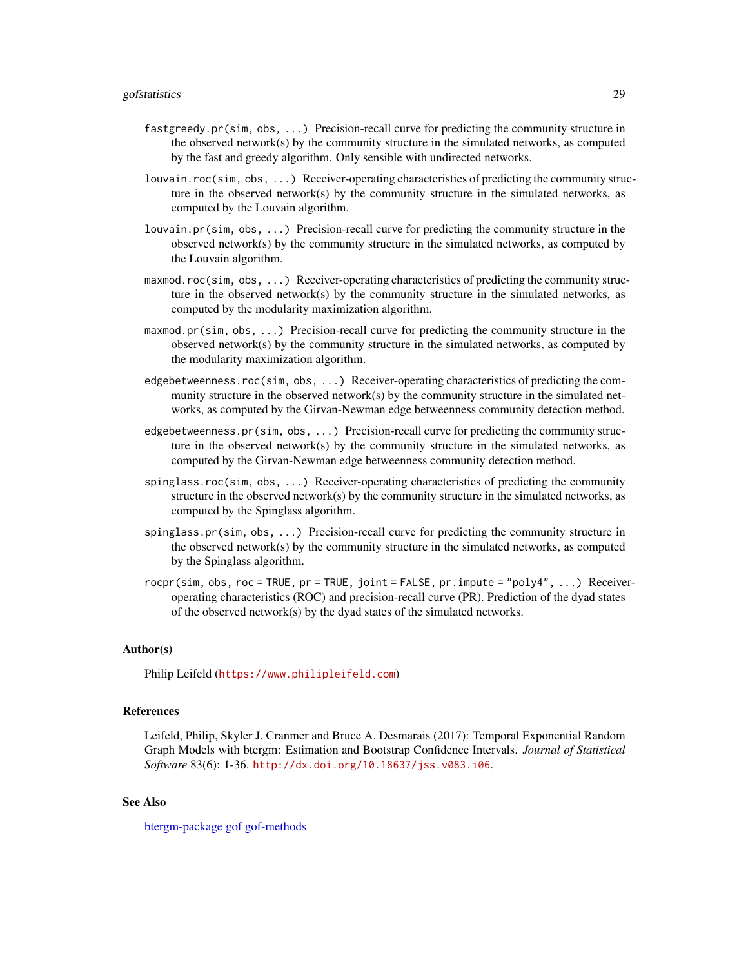- <span id="page-28-0"></span>fastgreedy.pr(sim, obs, ...) Precision-recall curve for predicting the community structure in the observed network $(s)$  by the community structure in the simulated networks, as computed by the fast and greedy algorithm. Only sensible with undirected networks.
- louvain.roc(sim, obs, ...) Receiver-operating characteristics of predicting the community structure in the observed network $(s)$  by the community structure in the simulated networks, as computed by the Louvain algorithm.
- louvain.pr(sim, obs, ...) Precision-recall curve for predicting the community structure in the observed network(s) by the community structure in the simulated networks, as computed by the Louvain algorithm.
- maxmod.roc(sim, obs, ...) Receiver-operating characteristics of predicting the community structure in the observed network $(s)$  by the community structure in the simulated networks, as computed by the modularity maximization algorithm.
- maxmod.pr(sim, obs, ...) Precision-recall curve for predicting the community structure in the observed network(s) by the community structure in the simulated networks, as computed by the modularity maximization algorithm.
- edgebetweenness.roc(sim, obs, ...) Receiver-operating characteristics of predicting the community structure in the observed network(s) by the community structure in the simulated networks, as computed by the Girvan-Newman edge betweenness community detection method.
- edgebetweenness.pr(sim, obs, ...) Precision-recall curve for predicting the community structure in the observed network $(s)$  by the community structure in the simulated networks, as computed by the Girvan-Newman edge betweenness community detection method.
- spinglass.roc(sim, obs, ...) Receiver-operating characteristics of predicting the community structure in the observed network(s) by the community structure in the simulated networks, as computed by the Spinglass algorithm.
- spinglass.pr(sim, obs, ...) Precision-recall curve for predicting the community structure in the observed network $(s)$  by the community structure in the simulated networks, as computed by the Spinglass algorithm.
- $rocpr(\text{sim}, \text{obs}, \text{roc} = \text{TRUE}, pr = \text{TRUE}, \text{joint} = \text{FALSE}, pr \text{ .} \text{impute} = \text{"poly4", ...}$  Receiveroperating characteristics (ROC) and precision-recall curve (PR). Prediction of the dyad states of the observed network(s) by the dyad states of the simulated networks.

#### Author(s)

Philip Leifeld (<https://www.philipleifeld.com>)

#### References

Leifeld, Philip, Skyler J. Cranmer and Bruce A. Desmarais (2017): Temporal Exponential Random Graph Models with btergm: Estimation and Bootstrap Confidence Intervals. *Journal of Statistical Software* 83(6): 1-36. <http://dx.doi.org/10.18637/jss.v083.i06>.

#### See Also

[btergm-package](#page-1-1) [gof](#page-13-1) [gof-methods](#page-13-3)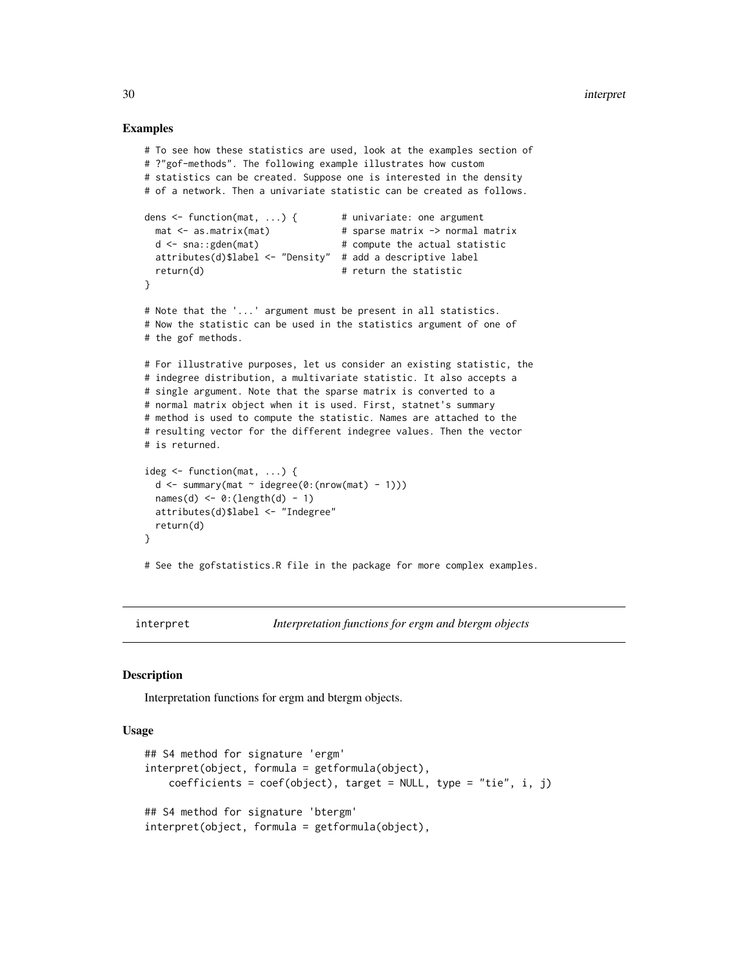#### Examples

```
# To see how these statistics are used, look at the examples section of
# ?"gof-methods". The following example illustrates how custom
# statistics can be created. Suppose one is interested in the density
# of a network. Then a univariate statistic can be created as follows.
dens \le function(mat, ...) { \qquad # univariate: one argument
  mat <- as.matrix(mat) # sparse matrix -> normal matrix
  d \leq -\text{sna}:\text{gden}(\text{mat}) # compute the actual statistic
  attributes(d)$label <- "Density" # add a descriptive label
  return(d) # return the statistic
}
# Note that the '...' argument must be present in all statistics.
# Now the statistic can be used in the statistics argument of one of
# the gof methods.
# For illustrative purposes, let us consider an existing statistic, the
# indegree distribution, a multivariate statistic. It also accepts a
# single argument. Note that the sparse matrix is converted to a
# normal matrix object when it is used. First, statnet's summary
# method is used to compute the statistic. Names are attached to the
# resulting vector for the different indegree values. Then the vector
# is returned.
ideg <- function(mat, ...) {
  d \leq -\text{summary}(\text{mat} \sim \text{idegree}(0:(\text{nrow}(\text{mat}) - 1)))names(d) \leftarrow 0:(length(d) - 1)attributes(d)$label <- "Indegree"
  return(d)
}
# See the gofstatistics.R file in the package for more complex examples.
```
interpret *Interpretation functions for ergm and btergm objects*

#### Description

Interpretation functions for ergm and btergm objects.

#### Usage

```
## S4 method for signature 'ergm'
interpret(object, formula = getformula(object),
   coefficients = coef(object), target = NULL, type = "tie", i, j)
## S4 method for signature 'btergm'
interpret(object, formula = getformula(object),
```
<span id="page-29-0"></span>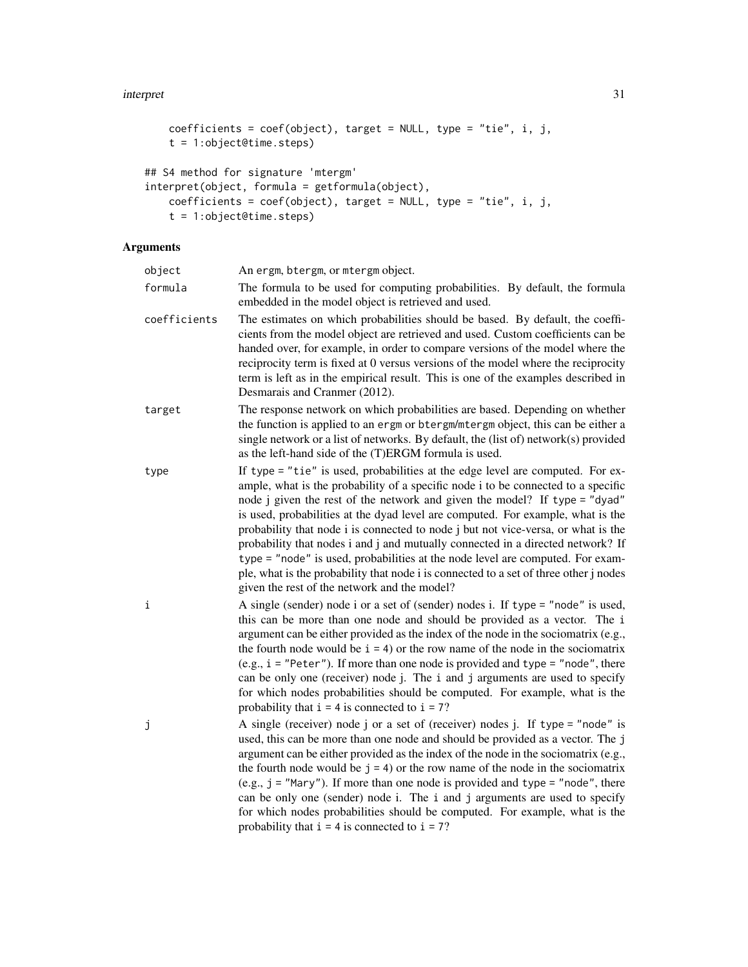#### interpret 31

```
coefficients = coef(object), target = NULL, type = "tie", i, j,
   t = 1:object@time.steps)
## S4 method for signature 'mtergm'
interpret(object, formula = getformula(object),
   coefficients = coef(object), target = NULL, type = "tie", i, j,
   t = 1:object@time.steps)
```
### Arguments

| object       | An ergm, btergm, or mtergm object.                                                                                                                                                                                                                                                                                                                                                                                                                                                                                                                                                                                                                                                                                                      |
|--------------|-----------------------------------------------------------------------------------------------------------------------------------------------------------------------------------------------------------------------------------------------------------------------------------------------------------------------------------------------------------------------------------------------------------------------------------------------------------------------------------------------------------------------------------------------------------------------------------------------------------------------------------------------------------------------------------------------------------------------------------------|
| formula      | The formula to be used for computing probabilities. By default, the formula<br>embedded in the model object is retrieved and used.                                                                                                                                                                                                                                                                                                                                                                                                                                                                                                                                                                                                      |
| coefficients | The estimates on which probabilities should be based. By default, the coeffi-<br>cients from the model object are retrieved and used. Custom coefficients can be<br>handed over, for example, in order to compare versions of the model where the<br>reciprocity term is fixed at 0 versus versions of the model where the reciprocity<br>term is left as in the empirical result. This is one of the examples described in<br>Desmarais and Cranmer (2012).                                                                                                                                                                                                                                                                            |
| target       | The response network on which probabilities are based. Depending on whether<br>the function is applied to an ergm or btergm/mtergm object, this can be either a<br>single network or a list of networks. By default, the (list of) network(s) provided<br>as the left-hand side of the (T)ERGM formula is used.                                                                                                                                                                                                                                                                                                                                                                                                                         |
| type         | If type = "tie" is used, probabilities at the edge level are computed. For ex-<br>ample, what is the probability of a specific node i to be connected to a specific<br>node j given the rest of the network and given the model? If type = "dyad"<br>is used, probabilities at the dyad level are computed. For example, what is the<br>probability that node i is connected to node j but not vice-versa, or what is the<br>probability that nodes i and j and mutually connected in a directed network? If<br>type = "node" is used, probabilities at the node level are computed. For exam-<br>ple, what is the probability that node i is connected to a set of three other j nodes<br>given the rest of the network and the model? |
| i            | A single (sender) node i or a set of (sender) nodes i. If type = "node" is used,<br>this can be more than one node and should be provided as a vector. The i<br>argument can be either provided as the index of the node in the sociomatrix (e.g.,<br>the fourth node would be $i = 4$ ) or the row name of the node in the sociomatrix<br>(e.g., $i = "Peter")$ . If more than one node is provided and type = "node", there<br>can be only one (receiver) node j. The i and j arguments are used to specify<br>for which nodes probabilities should be computed. For example, what is the<br>probability that $i = 4$ is connected to $i = 7$ ?                                                                                       |
| j            | A single (receiver) node j or a set of (receiver) nodes j. If type = "node" is<br>used, this can be more than one node and should be provided as a vector. The j<br>argument can be either provided as the index of the node in the sociomatrix (e.g.,<br>the fourth node would be $j = 4$ ) or the row name of the node in the sociomatrix<br>$(e.g., j = "Mary").$ If more than one node is provided and type = "node", there<br>can be only one (sender) node i. The i and j arguments are used to specify<br>for which nodes probabilities should be computed. For example, what is the<br>probability that $i = 4$ is connected to $i = 7$ ?                                                                                       |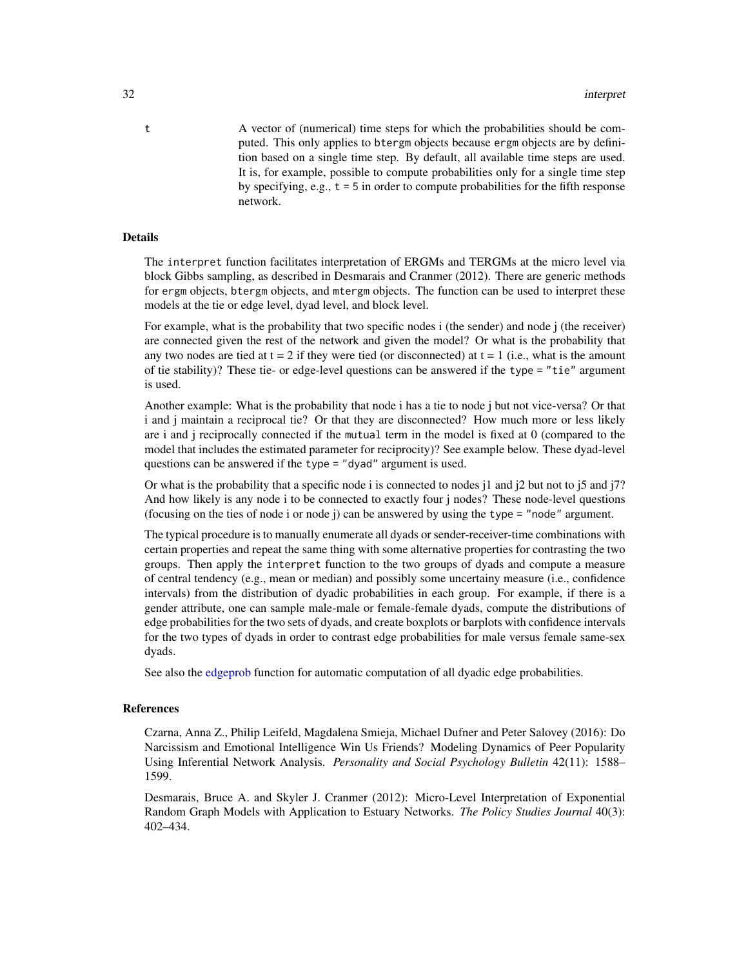<span id="page-31-0"></span>t A vector of (numerical) time steps for which the probabilities should be computed. This only applies to btergm objects because ergm objects are by definition based on a single time step. By default, all available time steps are used. It is, for example, possible to compute probabilities only for a single time step by specifying, e.g.,  $t = 5$  in order to compute probabilities for the fifth response network.

#### Details

The interpret function facilitates interpretation of ERGMs and TERGMs at the micro level via block Gibbs sampling, as described in Desmarais and Cranmer (2012). There are generic methods for ergm objects, btergm objects, and mtergm objects. The function can be used to interpret these models at the tie or edge level, dyad level, and block level.

For example, what is the probability that two specific nodes i (the sender) and node j (the receiver) are connected given the rest of the network and given the model? Or what is the probability that any two nodes are tied at  $t = 2$  if they were tied (or disconnected) at  $t = 1$  (i.e., what is the amount of tie stability)? These tie- or edge-level questions can be answered if the type = "tie" argument is used.

Another example: What is the probability that node i has a tie to node j but not vice-versa? Or that i and j maintain a reciprocal tie? Or that they are disconnected? How much more or less likely are i and j reciprocally connected if the mutual term in the model is fixed at 0 (compared to the model that includes the estimated parameter for reciprocity)? See example below. These dyad-level questions can be answered if the type = "dyad" argument is used.

Or what is the probability that a specific node i is connected to nodes  $i^1$  and  $i^2$  but not to  $i^5$  and  $i^7$ ? And how likely is any node i to be connected to exactly four j nodes? These node-level questions (focusing on the ties of node i or node j) can be answered by using the type = "node" argument.

The typical procedure is to manually enumerate all dyads or sender-receiver-time combinations with certain properties and repeat the same thing with some alternative properties for contrasting the two groups. Then apply the interpret function to the two groups of dyads and compute a measure of central tendency (e.g., mean or median) and possibly some uncertainy measure (i.e., confidence intervals) from the distribution of dyadic probabilities in each group. For example, if there is a gender attribute, one can sample male-male or female-female dyads, compute the distributions of edge probabilities for the two sets of dyads, and create boxplots or barplots with confidence intervals for the two types of dyads in order to contrast edge probabilities for male versus female same-sex dyads.

See also the [edgeprob](#page-12-1) function for automatic computation of all dyadic edge probabilities.

#### References

Czarna, Anna Z., Philip Leifeld, Magdalena Smieja, Michael Dufner and Peter Salovey (2016): Do Narcissism and Emotional Intelligence Win Us Friends? Modeling Dynamics of Peer Popularity Using Inferential Network Analysis. *Personality and Social Psychology Bulletin* 42(11): 1588– 1599.

Desmarais, Bruce A. and Skyler J. Cranmer (2012): Micro-Level Interpretation of Exponential Random Graph Models with Application to Estuary Networks. *The Policy Studies Journal* 40(3): 402–434.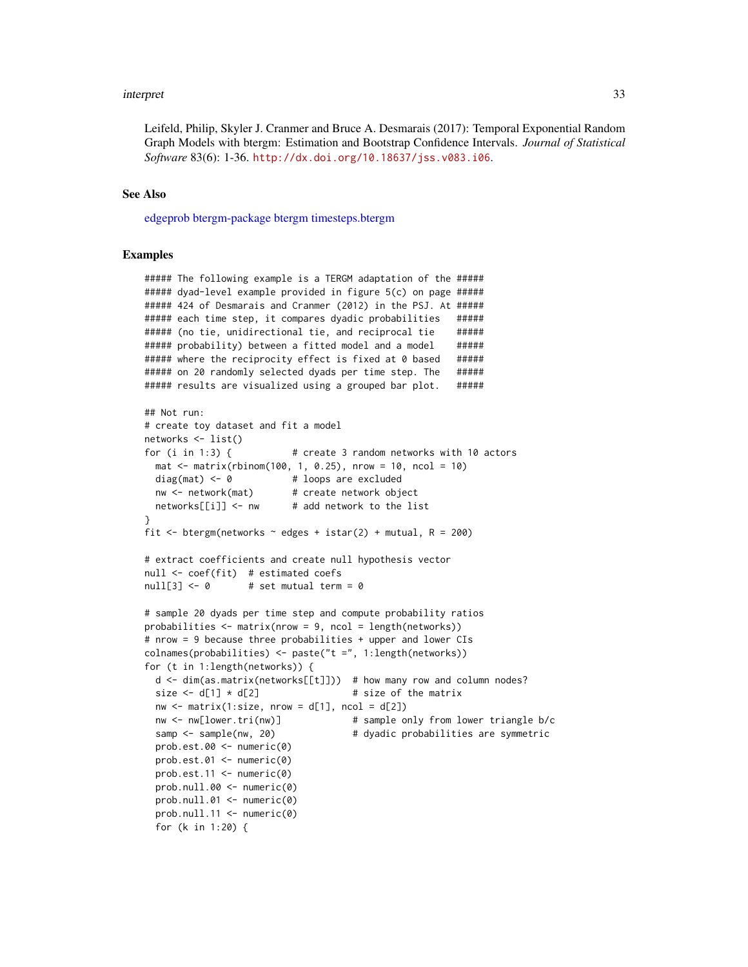#### <span id="page-32-0"></span>interpret 33

Leifeld, Philip, Skyler J. Cranmer and Bruce A. Desmarais (2017): Temporal Exponential Random Graph Models with btergm: Estimation and Bootstrap Confidence Intervals. *Journal of Statistical Software* 83(6): 1-36. <http://dx.doi.org/10.18637/jss.v083.i06>.

#### See Also

[edgeprob](#page-12-1) [btergm-package](#page-1-1) [btergm](#page-2-1) [timesteps.btergm](#page-7-2)

#### Examples

##### The following example is a TERGM adaptation of the ##### ##### dyad-level example provided in figure 5(c) on page ##### ##### 424 of Desmarais and Cranmer (2012) in the PSJ. At ##### ###### each time step, it compares dyadic probabilities ##### ###### (no tie, unidirectional tie, and reciprocal tie ###### ##### probability) between a fitted model and a model ##### ##### where the reciprocity effect is fixed at 0 based ##### ##### on 20 randomly selected dyads per time step. The ##### ##### results are visualized using a grouped bar plot. #####

```
## Not run:
# create toy dataset and fit a model
networks <- list()
for (i in 1:3) { # create 3 random networks with 10 actors
 mat \le matrix(rbinom(100, 1, 0.25), nrow = 10, ncol = 10)
 diag(mat) \leq -\theta # loops are excluded
 nw <- network(mat) # create network object
 networks[[i]] \leftarrow nw # add network to the list
}
fit <- btergm(networks \sim edges + istar(2) + mutual, R = 200)
# extract coefficients and create null hypothesis vector
null <- coef(fit) # estimated coefs
null[3] \leftarrow 0 # set mutual term = 0
# sample 20 dyads per time step and compute probability ratios
probabilities \leq matrix(nrow = 9, ncol = length(networks))
# nrow = 9 because three probabilities + upper and lower CIs
colnames(probabilities) <- paste("t =", 1:length(networks))
for (t in 1:length(networks)) {
 d \leq dim(as.matrix(networks[[t]])) # how many row and column nodes?
 size \leftarrow d[1] \star d[2] # size of the matrix
 nw \le matrix(1:size, nrow = d[1], ncol = d[2])
 nw <- nw[lower.tri(nw)] # sample only from lower triangle b/c
 samp <- sample(nw, 20) \qquad # dyadic probabilities are symmetric
 prob.est.00 <- numeric(0)
 prob.est.01 <- numeric(0)
 prob.est.11 <- numeric(0)
 prob.null.00 <- numeric(0)
 prob.null.01 <- numeric(0)
 prob.null.11 <- numeric(0)
 for (k in 1:20) {
```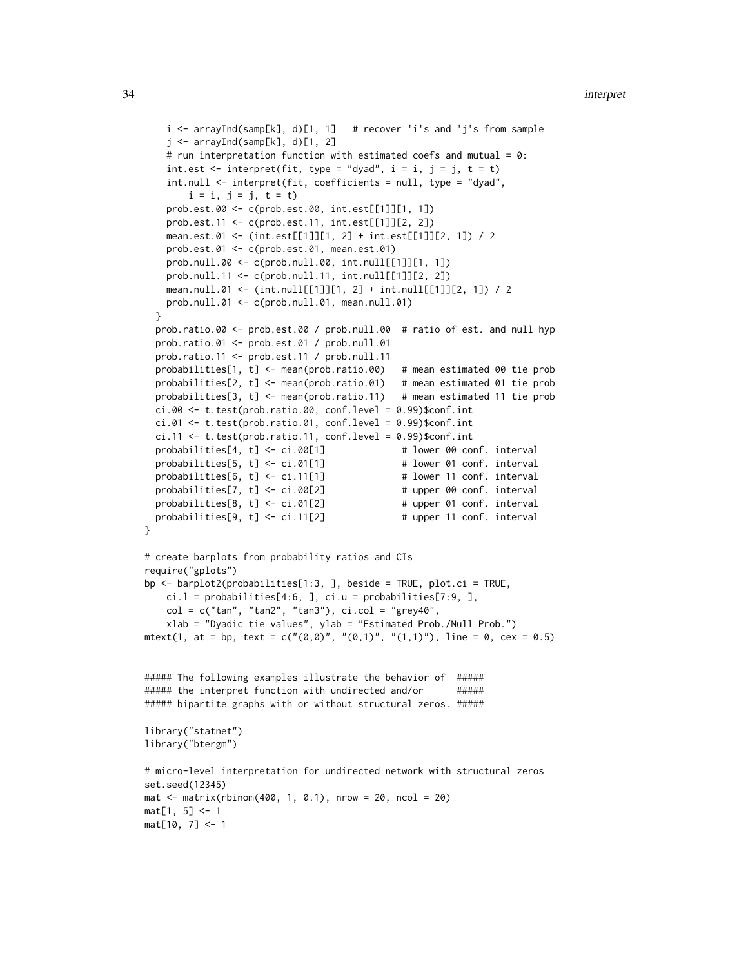```
i \leq -\arctan\left(\frac{\tan\left(\frac{1}{2}\right)}{\tan\left(\frac{1}{2}\right)}, \frac{1}{\tan\left(\frac{1}{2}\right)}\right) # recover 'i's and 'j's from sample
    j \leftarrow \text{arrayInd}(\text{samplek}], d)[1, 2]# run interpretation function with estimated coefs and mutual = 0:
    int.est \le interpret(fit, type = "dyad", i = i, j = j, t = t)
    int.null <- interpret(fit, coefficients = null, type = "dyad",
        i = i, j = j, t = t)
    prob.est.00 <- c(prob.est.00, int.est[[1]][1, 1])
    prob.est.11 <- c(prob.est.11, int.est[[1]][2, 2])
    mean.est.01 <- (int.est[[1]][1, 2] + int.est[[1]][2, 1]) / 2
    prob.est.01 <- c(prob.est.01, mean.est.01)
    prob.null.00 <- c(prob.null.00, int.null[[1]][1, 1])
    prob.null.11 <- c(prob.null.11, int.null[[1]][2, 2])
    mean.null.01 <- (int.null[[1]][1, 2] + int.null[[1]][2, 1]) / 2
    prob.null.01 <- c(prob.null.01, mean.null.01)
 }
 prob.ratio.00 <- prob.est.00 / prob.null.00 # ratio of est. and null hyp
 prob.ratio.01 <- prob.est.01 / prob.null.01
 prob.ratio.11 <- prob.est.11 / prob.null.11
 probabilities[1, t] <- mean(prob.ratio.00) # mean estimated 00 tie prob
 probabilities[2, t] <- mean(prob.ratio.01) # mean estimated 01 tie prob
 probabilities[3, t] <- mean(prob.ratio.11) # mean estimated 11 tie prob
 ci.00 \leq t. \text{test}(\text{prob.ratio}.00, \text{conf. level} = 0.99)$conf.int
 ci.01 <- t.test(prob.ratio.01, conf.level = 0.99)$conf.int
 ci.11 < -t. test(prob.ratio.11, conf. level = 0.99)$conf.int
 probabilities[4, t] <- ci.00[1] # lower 00 conf. interval
 probabilities[5, t] \leftarrow ci.01[1] # lower 01 conf. interval
 probabilities[6, t] <- ci.11[1] \qquad # lower 11 conf. interval
 probabilities[7, t] < -ci.00[2] # upper 00 conf. interval
 probabilities[8, t] < -ci.01[2] # upper 01 conf. interval
 probabilities[9, t] < -ci.11[2] # upper 11 conf. interval
}
# create barplots from probability ratios and CIs
require("gplots")
bp <- barplot2(probabilities[1:3, ], beside = TRUE, plot.ci = TRUE,
    ci.l = probability[i4:6, ], ci.u = probability[i1:6, ],col = c("tan", "tan2", "tan3"), ci,col = "grey40",xlab = "Dyadic tie values", ylab = "Estimated Prob./Null Prob.")
mtext{text}(1, at = bp, text = c("(0, 0)", "(0, 1)", "(1, 1)"), line = 0, cex = 0.5)##### The following examples illustrate the behavior of #####
##### the interpret function with undirected and/or ######
##### bipartite graphs with or without structural zeros. #####
library("statnet")
library("btergm")
# micro-level interpretation for undirected network with structural zeros
set.seed(12345)
mat < -matrix(rbinom{400}{1}, 0.1), nrow = 20, ncol = 20)
mat[1, 5] < -1mat[10, 7] <- 1
```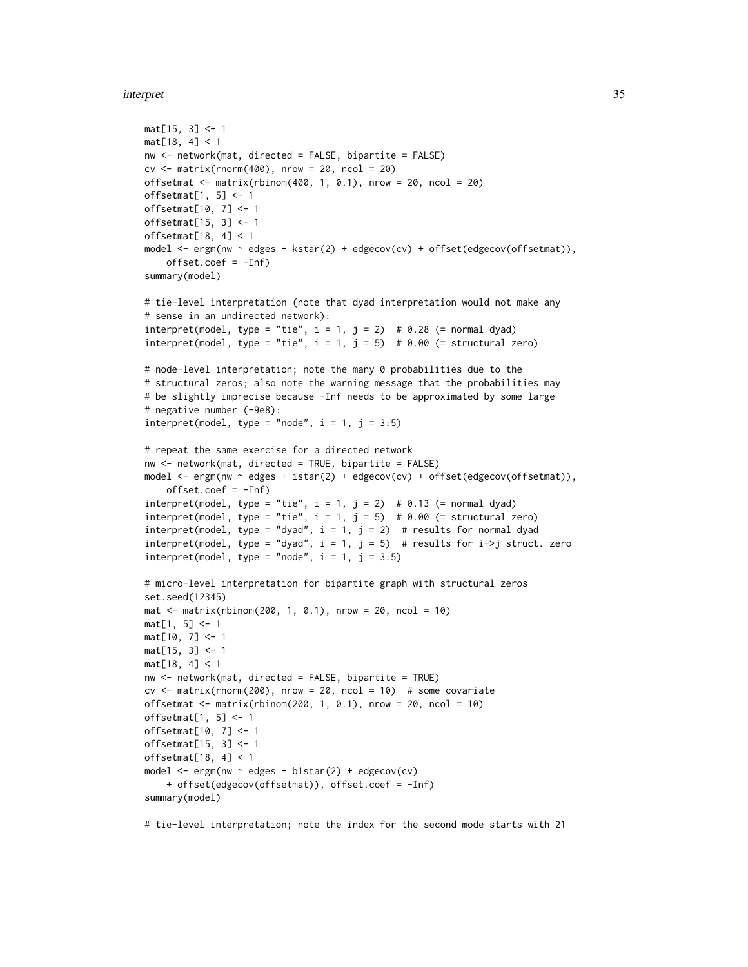#### interpret 35

```
mat[15, 3] <- 1
mat[18, 4] < 1
nw <- network(mat, directed = FALSE, bipartite = FALSE)
cv \leq -\text{matrix}(rnorm(400), nrow = 20, ncol = 20)offsetmat \leq matrix(rbinom(400, 1, 0.1), nrow = 20, ncol = 20)
offsetmat[1, 5] <- 1
offsetmat[10, 7] <- 1
offsetmat[15, 3] <- 1
offsetmat[18, 4] < 1
model <- ergm(nw ~ edges + kstar(2) + edgecov(cv) + offset(edgecov(offsetmat)),
    offset.coef = -Inf)
summary(model)
# tie-level interpretation (note that dyad interpretation would not make any
# sense in an undirected network):
interpret(model, type = "tie", i = 1, j = 2) # 0.28 (= normal dyad)interpret(model, type = "tie", i = 1, j = 5) # 0.00 (= structural zero)
# node-level interpretation; note the many 0 probabilities due to the
# structural zeros; also note the warning message that the probabilities may
# be slightly imprecise because -Inf needs to be approximated by some large
# negative number (-9e8):
interpret(model, type = "node", i = 1, j = 3:5)# repeat the same exercise for a directed network
nw <- network(mat, directed = TRUE, bipartite = FALSE)
model <- ergm(nw ~ edges + istar(2) + edgecov(cv) + offset(edgecov(offsetmat)),
    offset.coef = -Inf)interpret(model, type = "tie", i = 1, j = 2) # 0.13 (= normal dyad)interpret(model, type = "tie", i = 1, j = 5) # 0.00 (= structural zero)interpret(model, type = "dyad", i = 1, j = 2) # results for normal dyad
interpret(model, type = "dyad", i = 1, j = 5) # results for i->j struct. zero
interpret(model, type = "node", i = 1, j = 3:5)# micro-level interpretation for bipartite graph with structural zeros
set.seed(12345)
\text{mat} < - matrix(rbinom(200, 1, 0.1), nrow = 20, ncol = 10)
mat[1, 5] < -1mat[10, 7] <- 1
mat[15, 3] <- 1
mat[18, 4] < 1
nw <- network(mat, directed = FALSE, bipartite = TRUE)
cv \le matrix(rnorm(200), nrow = 20, ncol = 10) # some covariate
offsetmat \le matrix(rbinom(200, 1, 0.1), nrow = 20, ncol = 10)
offsetmat[1, 5] <- 1
offsetmat[10, 7] <- 1
offsetmat[15, 3] <- 1
offsetmat[18, 4] < 1model <- ergm(nw ~ edges + b1star(2) + edgecov(cv)
    + offset(edgecov(offsetmat)), offset.coef = -Inf)
summary(model)
```
# tie-level interpretation; note the index for the second mode starts with 21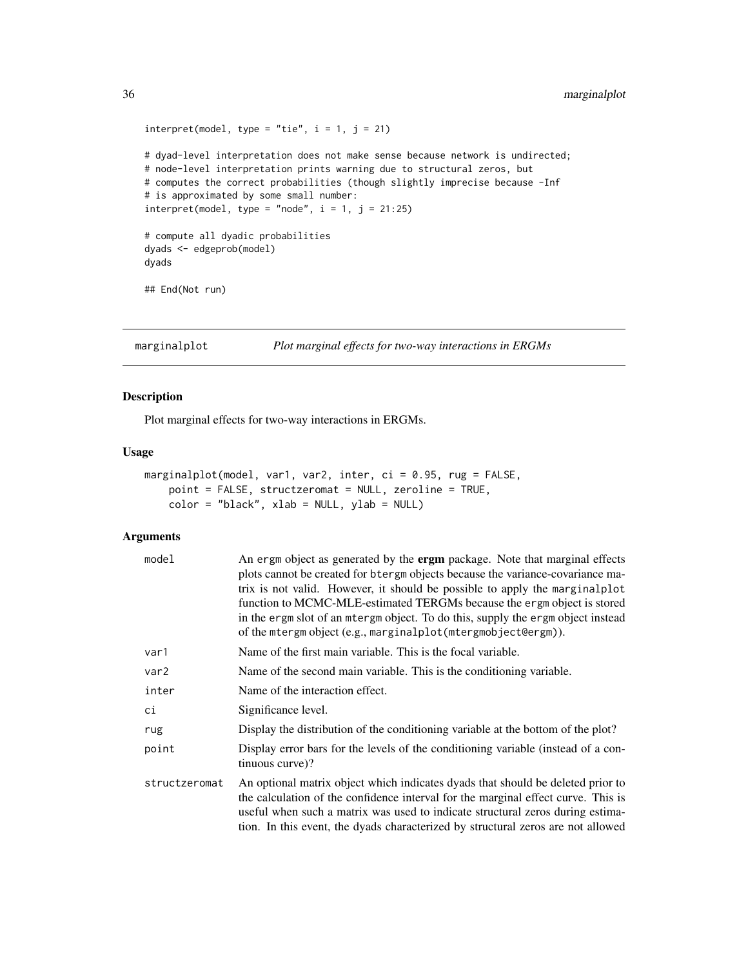```
interpret(model, type = "tie", i = 1, j = 21)# dyad-level interpretation does not make sense because network is undirected;
# node-level interpretation prints warning due to structural zeros, but
# computes the correct probabilities (though slightly imprecise because -Inf
# is approximated by some small number:
interpret(model, type = "node", i = 1, j = 21:25)# compute all dyadic probabilities
dyads <- edgeprob(model)
dyads
## End(Not run)
```

```
marginalplot Plot marginal effects for two-way interactions in ERGMs
```
#### Description

Plot marginal effects for two-way interactions in ERGMs.

#### Usage

```
marginalplot(model, var1, var2, inter, ci = 0.95, rug = FALSE,
   point = FALSE, structzeromat = NULL, zeroline = TRUE,
   color = "black", xlab = NULL, ylab = NULL)
```
#### Arguments

| model            | An ergm object as generated by the <b>ergm</b> package. Note that marginal effects<br>plots cannot be created for b tergm objects because the variance-covariance ma-<br>trix is not valid. However, it should be possible to apply the marginalplot<br>function to MCMC-MLE-estimated TERGMs because the ergm object is stored<br>in the ergm slot of an mtergm object. To do this, supply the ergm object instead<br>of the mtergm object (e.g., marginalplot (mtergmobject@ergm)). |
|------------------|---------------------------------------------------------------------------------------------------------------------------------------------------------------------------------------------------------------------------------------------------------------------------------------------------------------------------------------------------------------------------------------------------------------------------------------------------------------------------------------|
| var1             | Name of the first main variable. This is the focal variable.                                                                                                                                                                                                                                                                                                                                                                                                                          |
| var <sub>2</sub> | Name of the second main variable. This is the conditioning variable.                                                                                                                                                                                                                                                                                                                                                                                                                  |
| inter            | Name of the interaction effect.                                                                                                                                                                                                                                                                                                                                                                                                                                                       |
| сi               | Significance level.                                                                                                                                                                                                                                                                                                                                                                                                                                                                   |
| rug              | Display the distribution of the conditioning variable at the bottom of the plot?                                                                                                                                                                                                                                                                                                                                                                                                      |
| point            | Display error bars for the levels of the conditioning variable (instead of a con-<br>tinuous curve)?                                                                                                                                                                                                                                                                                                                                                                                  |
| structzeromat    | An optional matrix object which indicates dyads that should be deleted prior to<br>the calculation of the confidence interval for the marginal effect curve. This is<br>useful when such a matrix was used to indicate structural zeros during estima-<br>tion. In this event, the dyads characterized by structural zeros are not allowed                                                                                                                                            |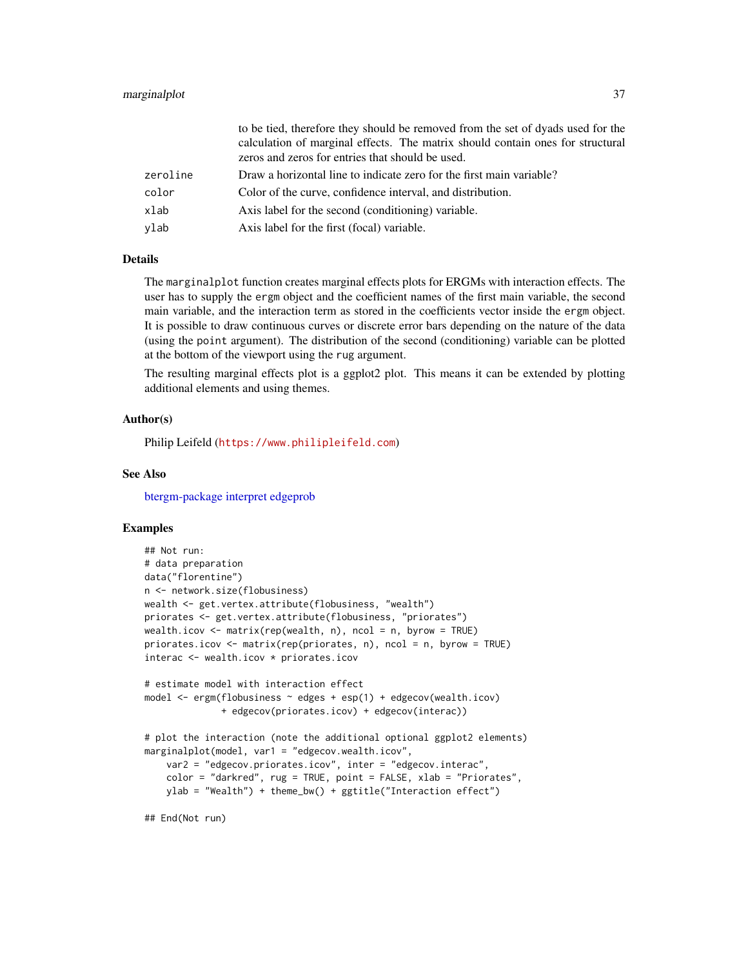#### <span id="page-36-0"></span>marginalplot 37

|          | to be tied, therefore they should be removed from the set of dyads used for the |
|----------|---------------------------------------------------------------------------------|
|          | calculation of marginal effects. The matrix should contain ones for structural  |
|          | zeros and zeros for entries that should be used.                                |
| zeroline | Draw a horizontal line to indicate zero for the first main variable?            |
| color    | Color of the curve, confidence interval, and distribution.                      |
| xlab     | Axis label for the second (conditioning) variable.                              |
| vlab     | Axis label for the first (focal) variable.                                      |

#### **Details**

The marginalplot function creates marginal effects plots for ERGMs with interaction effects. The user has to supply the ergm object and the coefficient names of the first main variable, the second main variable, and the interaction term as stored in the coefficients vector inside the ergm object. It is possible to draw continuous curves or discrete error bars depending on the nature of the data (using the point argument). The distribution of the second (conditioning) variable can be plotted at the bottom of the viewport using the rug argument.

The resulting marginal effects plot is a ggplot2 plot. This means it can be extended by plotting additional elements and using themes.

#### Author(s)

Philip Leifeld (<https://www.philipleifeld.com>)

#### See Also

[btergm-package](#page-1-1) [interpret](#page-29-1) [edgeprob](#page-12-1)

#### Examples

```
## Not run:
# data preparation
data("florentine")
n <- network.size(flobusiness)
wealth <- get.vertex.attribute(flobusiness, "wealth")
priorates <- get.vertex.attribute(flobusiness, "priorates")
wealth.icov <- matrix(rep(wealth, n), ncol = n, byrow = TRUE)
priorates.icov <- matrix(rep(priorates, n), ncol = n, byrow = TRUE)
interac <- wealth.icov * priorates.icov
# estimate model with interaction effect
model <- ergm(flobusiness ~ edges + esp(1) + edgecov(wealth.icov)
              + edgecov(priorates.icov) + edgecov(interac))
# plot the interaction (note the additional optional ggplot2 elements)
marginalplot(model, var1 = "edgecov.wealth.icov",
    var2 = "edgecov.priorates.icov", inter = "edgecov.interac",
    color = "darkred", rug = TRUE, point = FALSE, xlab = "Priorates",
    ylab = "Wealth") + theme_bw() + ggtitle("Interaction effect")
```
## End(Not run)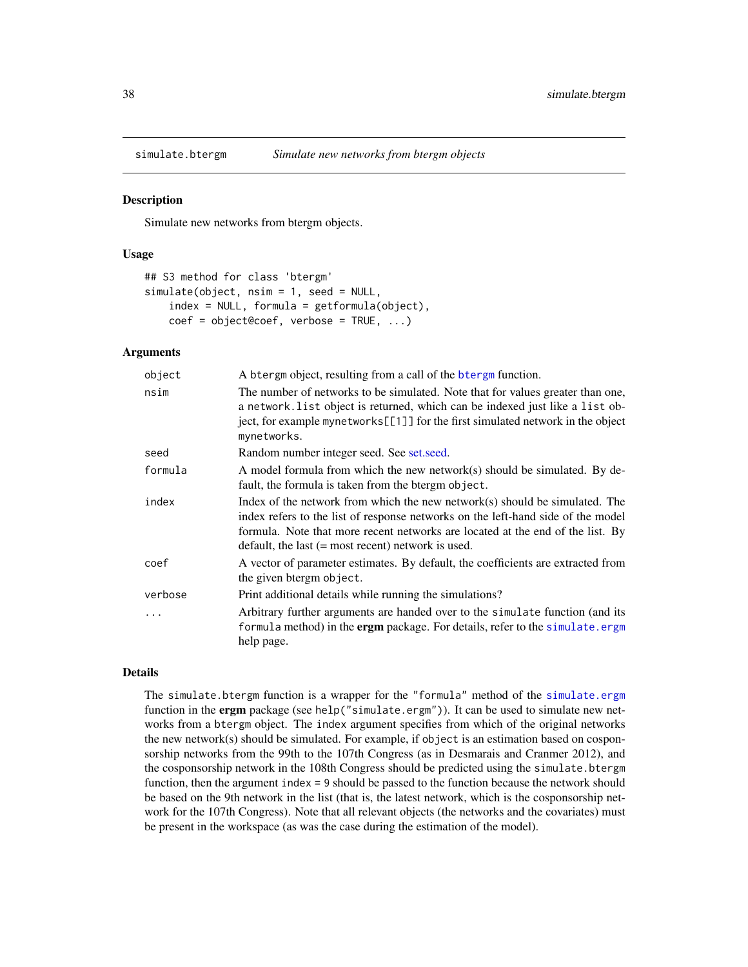<span id="page-37-1"></span><span id="page-37-0"></span>

#### Description

Simulate new networks from btergm objects.

#### Usage

```
## S3 method for class 'btergm'
simulate(object, nsim = 1, seed = NULL,
   index = NULL, formula = getformula(object),coef = object@coef, verbose = TRUE, ...)
```
#### Arguments

| object  | A btergm object, resulting from a call of the btergm function.                                                                                                                                                                                                                                               |
|---------|--------------------------------------------------------------------------------------------------------------------------------------------------------------------------------------------------------------------------------------------------------------------------------------------------------------|
| nsim    | The number of networks to be simulated. Note that for values greater than one,<br>a network. list object is returned, which can be indexed just like a list ob-<br>ject, for example mynetworks[[1]] for the first simulated network in the object<br>mynetworks.                                            |
| seed    | Random number integer seed. See set.seed.                                                                                                                                                                                                                                                                    |
| formula | A model formula from which the new network(s) should be simulated. By de-<br>fault, the formula is taken from the btergm object.                                                                                                                                                                             |
| index   | Index of the network from which the new network $(s)$ should be simulated. The<br>index refers to the list of response networks on the left-hand side of the model<br>formula. Note that more recent networks are located at the end of the list. By<br>default, the last $(=$ most recent) network is used. |
| coef    | A vector of parameter estimates. By default, the coefficients are extracted from<br>the given beergm object.                                                                                                                                                                                                 |
| verbose | Print additional details while running the simulations?                                                                                                                                                                                                                                                      |
| .       | Arbitrary further arguments are handed over to the simulate function (and its<br>formula method) in the <b>ergm</b> package. For details, refer to the simulate.ergm<br>help page.                                                                                                                           |

#### Details

The simulate.btergm function is a wrapper for the "formula" method of the [simulate.ergm](#page-0-0) function in the ergm package (see help("simulate.ergm")). It can be used to simulate new networks from a btergm object. The index argument specifies from which of the original networks the new network(s) should be simulated. For example, if object is an estimation based on cosponsorship networks from the 99th to the 107th Congress (as in Desmarais and Cranmer 2012), and the cosponsorship network in the 108th Congress should be predicted using the simulate.btergm function, then the argument index = 9 should be passed to the function because the network should be based on the 9th network in the list (that is, the latest network, which is the cosponsorship network for the 107th Congress). Note that all relevant objects (the networks and the covariates) must be present in the workspace (as was the case during the estimation of the model).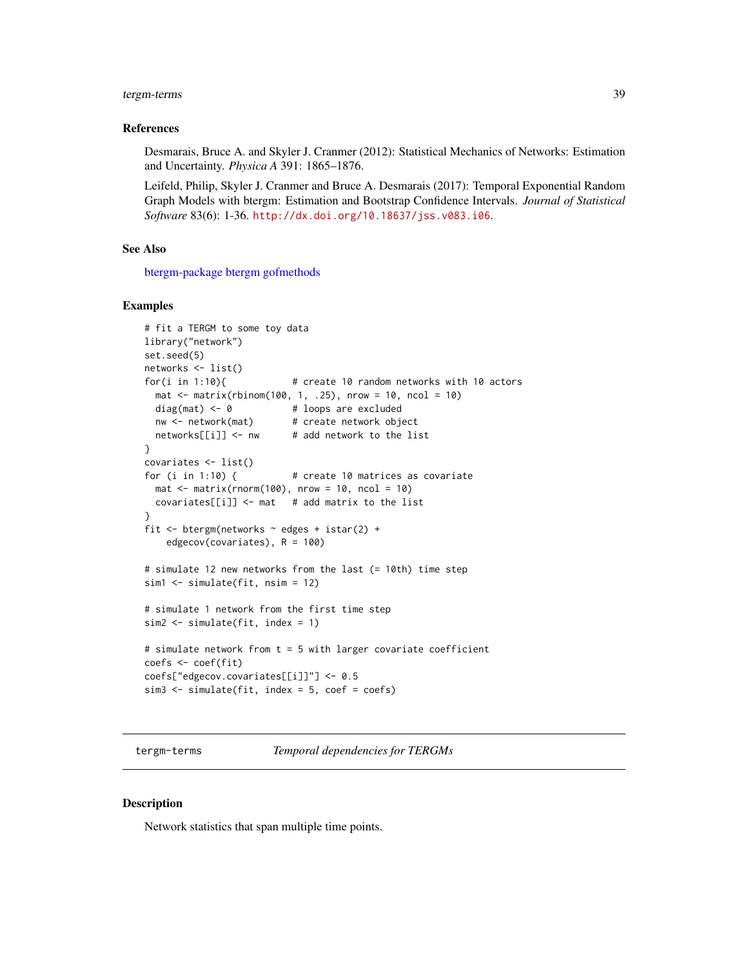#### <span id="page-38-0"></span>tergm-terms 39

#### References

Desmarais, Bruce A. and Skyler J. Cranmer (2012): Statistical Mechanics of Networks: Estimation and Uncertainty. *Physica A* 391: 1865–1876.

Leifeld, Philip, Skyler J. Cranmer and Bruce A. Desmarais (2017): Temporal Exponential Random Graph Models with btergm: Estimation and Bootstrap Confidence Intervals. *Journal of Statistical Software* 83(6): 1-36. <http://dx.doi.org/10.18637/jss.v083.i06>.

#### See Also

[btergm-package](#page-1-1) [btergm](#page-2-1) [gofmethods](#page-13-1)

#### Examples

```
# fit a TERGM to some toy data
library("network")
set.seed(5)
networks <- list()
for(i in 1:10){ # create 10 random networks with 10 actors
 mat <- matrix(rbinom(100, 1, .25), nrow = 10, ncol = 10)
 diag(mat) <- 0 + loops are excluded
 nw <- network(mat) # create network object
 networks[[i]] <- nw # add network to the list
}
covariates <- list()
for (i in 1:10) { # create 10 matrices as covariate
 mat \le matrix(rnorm(100), nrow = 10, ncol = 10)
 covariates[[i]] \leftarrow mat # add matrix to the list
}
fit <- btergm(networks ~ edges + istar(2) +
    edgecov(covariates), R = 100)
# simulate 12 new networks from the last (= 10th) time step
sim1 <- simulate(fit, nsim = 12)
# simulate 1 network from the first time step
sim2 <- simulate(fit, index = 1)
# simulate network from t = 5 with larger covariate coefficient
coefs <- coef(fit)
coefs["edgecov.covariates[[i]]"] <- 0.5
sim3 <- simulate(fit, index = 5, coef = coefs)
```
tergm-terms *Temporal dependencies for TERGMs*

#### <span id="page-38-1"></span>Description

Network statistics that span multiple time points.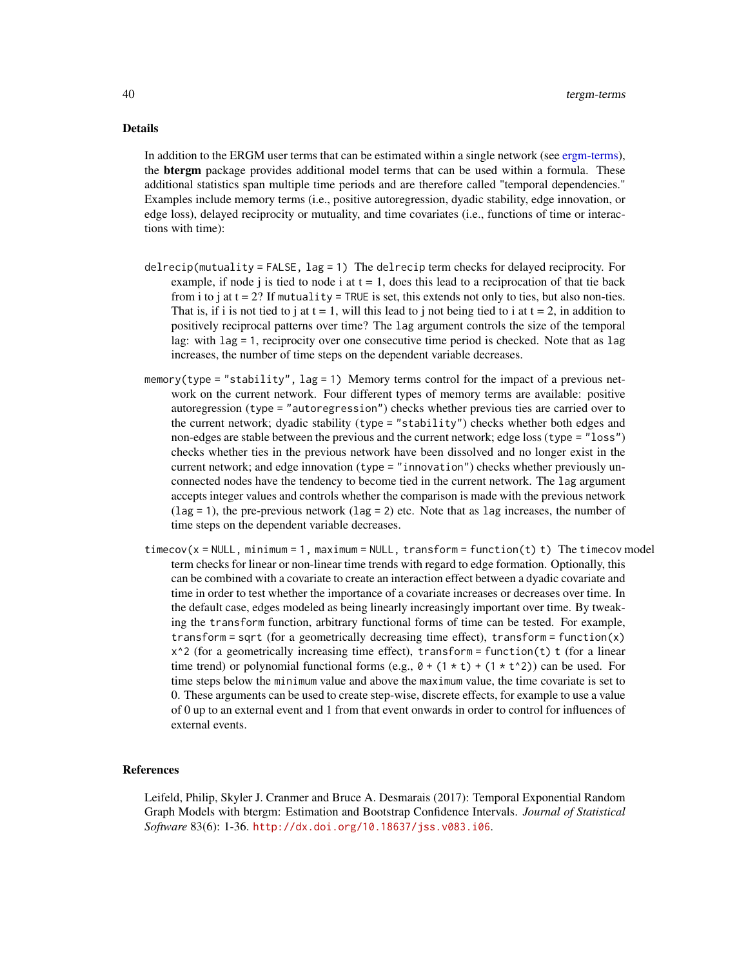#### <span id="page-39-0"></span>Details

In addition to the ERGM user terms that can be estimated within a single network (see [ergm-terms\)](#page-38-1), the **btergm** package provides additional model terms that can be used within a formula. These additional statistics span multiple time periods and are therefore called "temporal dependencies." Examples include memory terms (i.e., positive autoregression, dyadic stability, edge innovation, or edge loss), delayed reciprocity or mutuality, and time covariates (i.e., functions of time or interactions with time):

- delrecip(mutuality = FALSE,  $lag = 1$ ) The delrecip term checks for delayed reciprocity. For example, if node j is tied to node i at  $t = 1$ , does this lead to a reciprocation of that tie back from i to j at  $t = 2$ ? If mutuality = TRUE is set, this extends not only to ties, but also non-ties. That is, if i is not tied to j at  $t = 1$ , will this lead to j not being tied to i at  $t = 2$ , in addition to positively reciprocal patterns over time? The lag argument controls the size of the temporal lag: with  $\log = 1$ , reciprocity over one consecutive time period is checked. Note that as lag increases, the number of time steps on the dependent variable decreases.
- memory(type = "stability", lag = 1) Memory terms control for the impact of a previous network on the current network. Four different types of memory terms are available: positive autoregression (type = "autoregression") checks whether previous ties are carried over to the current network; dyadic stability (type = "stability") checks whether both edges and non-edges are stable between the previous and the current network; edge loss (type = "loss") checks whether ties in the previous network have been dissolved and no longer exist in the current network; and edge innovation (type = "innovation") checks whether previously unconnected nodes have the tendency to become tied in the current network. The lag argument accepts integer values and controls whether the comparison is made with the previous network  $(\text{lag} = 1)$ , the pre-previous network  $(\text{lag} = 2)$  etc. Note that as lag increases, the number of time steps on the dependent variable decreases.
- $timecov(x = NULL, minimum = 1, maximum = NULL, transform = function(t) t)$  The timecov model term checks for linear or non-linear time trends with regard to edge formation. Optionally, this can be combined with a covariate to create an interaction effect between a dyadic covariate and time in order to test whether the importance of a covariate increases or decreases over time. In the default case, edges modeled as being linearly increasingly important over time. By tweaking the transform function, arbitrary functional forms of time can be tested. For example, transform = sqrt (for a geometrically decreasing time effect), transform = function $(x)$  $x^2$  (for a geometrically increasing time effect), transform = function(t) t (for a linear time trend) or polynomial functional forms (e.g.,  $\theta$  + (1  $\star$  t) + (1  $\star$  t^2)) can be used. For time steps below the minimum value and above the maximum value, the time covariate is set to 0. These arguments can be used to create step-wise, discrete effects, for example to use a value of 0 up to an external event and 1 from that event onwards in order to control for influences of external events.

#### References

Leifeld, Philip, Skyler J. Cranmer and Bruce A. Desmarais (2017): Temporal Exponential Random Graph Models with btergm: Estimation and Bootstrap Confidence Intervals. *Journal of Statistical Software* 83(6): 1-36. <http://dx.doi.org/10.18637/jss.v083.i06>.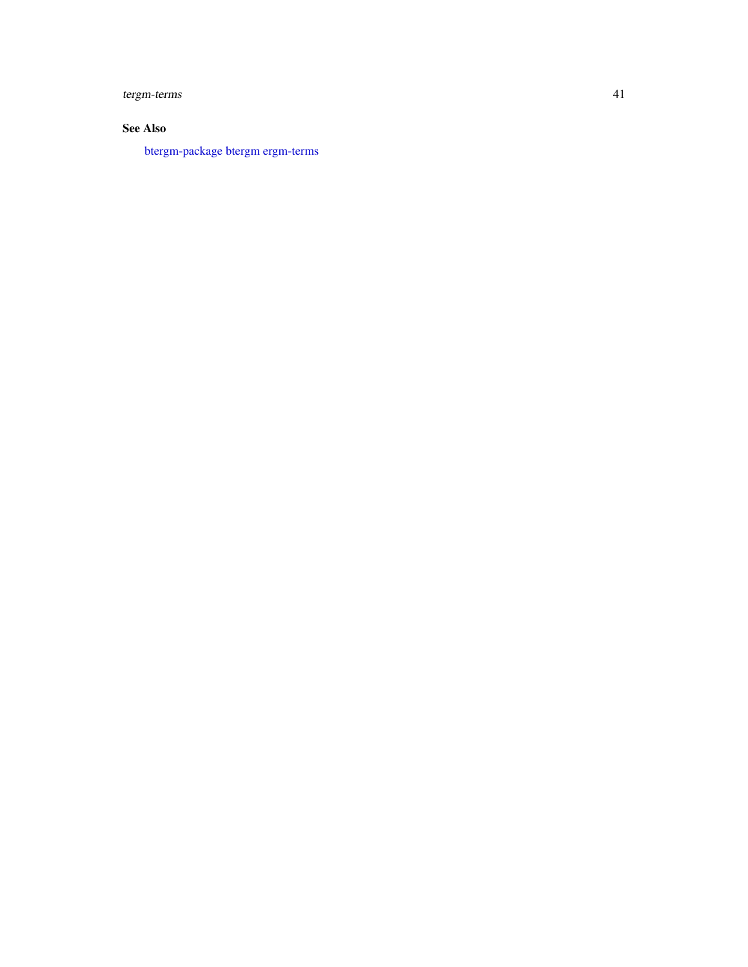<span id="page-40-0"></span>tergm-terms 41

### See Also

[btergm-package](#page-1-1) [btergm](#page-2-1) [ergm-terms](#page-38-1)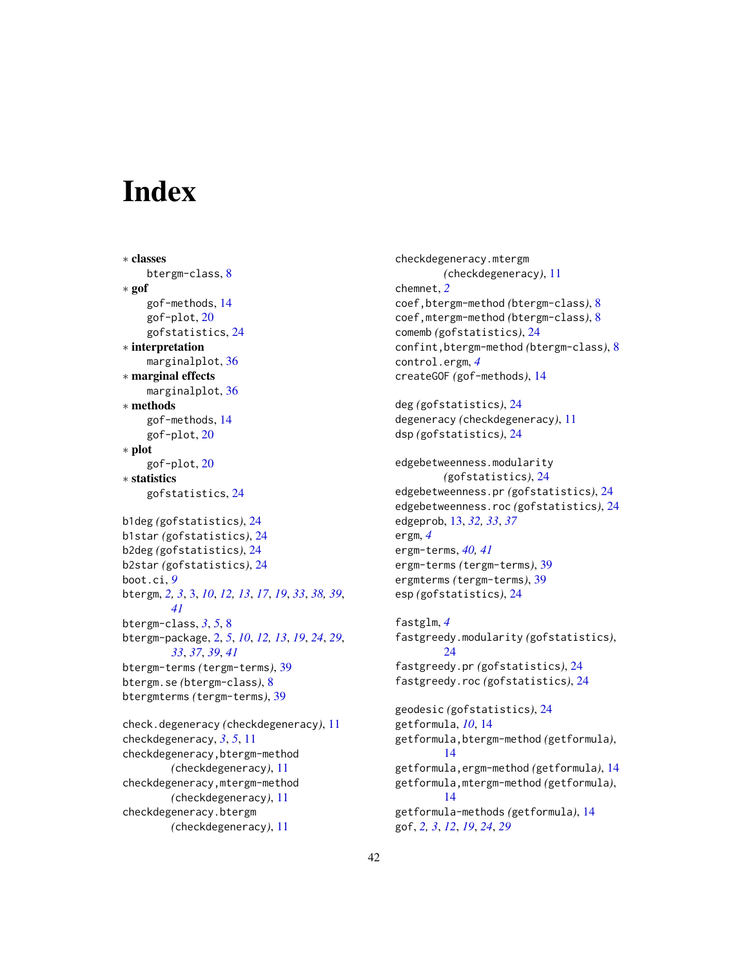# <span id="page-41-0"></span>**Index**

∗ classes btergm-class, [8](#page-7-0) ∗ gof gof-methods, [14](#page-13-0) gof-plot, [20](#page-19-0) gofstatistics, [24](#page-23-0) ∗ interpretation marginalplot, [36](#page-35-0) ∗ marginal effects marginalplot, [36](#page-35-0) ∗ methods gof-methods, [14](#page-13-0) gof-plot, [20](#page-19-0) ∗ plot gof-plot, [20](#page-19-0) ∗ statistics gofstatistics, [24](#page-23-0) b1deg *(*gofstatistics*)*, [24](#page-23-0) b1star *(*gofstatistics*)*, [24](#page-23-0) b2deg *(*gofstatistics*)*, [24](#page-23-0) b2star *(*gofstatistics*)*, [24](#page-23-0) boot.ci, *[9](#page-8-0)* btergm, *[2,](#page-1-0) [3](#page-2-0)*, [3,](#page-2-0) *[10](#page-9-0)*, *[12,](#page-11-0) [13](#page-12-0)*, *[17](#page-16-0)*, *[19](#page-18-0)*, *[33](#page-32-0)*, *[38,](#page-37-0) [39](#page-38-0)*, *[41](#page-40-0)* btergm-class, *[3](#page-2-0)*, *[5](#page-4-0)*, [8](#page-7-0) btergm-package, [2,](#page-1-0) *[5](#page-4-0)*, *[10](#page-9-0)*, *[12,](#page-11-0) [13](#page-12-0)*, *[19](#page-18-0)*, *[24](#page-23-0)*, *[29](#page-28-0)*, *[33](#page-32-0)*, *[37](#page-36-0)*, *[39](#page-38-0)*, *[41](#page-40-0)* btergm-terms *(*tergm-terms*)*, [39](#page-38-0) btergm.se *(*btergm-class*)*, [8](#page-7-0) btergmterms *(*tergm-terms*)*, [39](#page-38-0) check.degeneracy *(*checkdegeneracy*)*, [11](#page-10-0)

checkdegeneracy, *[3](#page-2-0)*, *[5](#page-4-0)*, [11](#page-10-0) checkdegeneracy,btergm-method *(*checkdegeneracy*)*, [11](#page-10-0) checkdegeneracy,mtergm-method *(*checkdegeneracy*)*, [11](#page-10-0) checkdegeneracy.btergm *(*checkdegeneracy*)*, [11](#page-10-0)

checkdegeneracy.mtergm *(*checkdegeneracy*)*, [11](#page-10-0) chemnet, *[2](#page-1-0)* coef,btergm-method *(*btergm-class*)*, [8](#page-7-0) coef,mtergm-method *(*btergm-class*)*, [8](#page-7-0) comemb *(*gofstatistics*)*, [24](#page-23-0) confint,btergm-method *(*btergm-class*)*, [8](#page-7-0) control.ergm, *[4](#page-3-0)* createGOF *(*gof-methods*)*, [14](#page-13-0)

```
deg (gofstatistics), 24
degeneracy (checkdegeneracy), 11
dsp (gofstatistics), 24
```
edgebetweenness.modularity *(*gofstatistics*)*, [24](#page-23-0) edgebetweenness.pr *(*gofstatistics*)*, [24](#page-23-0) edgebetweenness.roc *(*gofstatistics*)*, [24](#page-23-0) edgeprob, [13,](#page-12-0) *[32,](#page-31-0) [33](#page-32-0)*, *[37](#page-36-0)* ergm, *[4](#page-3-0)* ergm-terms, *[40,](#page-39-0) [41](#page-40-0)* ergm-terms *(*tergm-terms*)*, [39](#page-38-0) ergmterms *(*tergm-terms*)*, [39](#page-38-0) esp *(*gofstatistics*)*, [24](#page-23-0)

fastglm, *[4](#page-3-0)* fastgreedy.modularity *(*gofstatistics*)*, [24](#page-23-0) fastgreedy.pr *(*gofstatistics*)*, [24](#page-23-0) fastgreedy.roc *(*gofstatistics*)*, [24](#page-23-0)

geodesic *(*gofstatistics*)*, [24](#page-23-0) getformula, *[10](#page-9-0)*, [14](#page-13-0) getformula,btergm-method *(*getformula*)*, [14](#page-13-0) getformula,ergm-method *(*getformula*)*, [14](#page-13-0) getformula,mtergm-method *(*getformula*)*, [14](#page-13-0) getformula-methods *(*getformula*)*, [14](#page-13-0) gof, *[2,](#page-1-0) [3](#page-2-0)*, *[12](#page-11-0)*, *[19](#page-18-0)*, *[24](#page-23-0)*, *[29](#page-28-0)*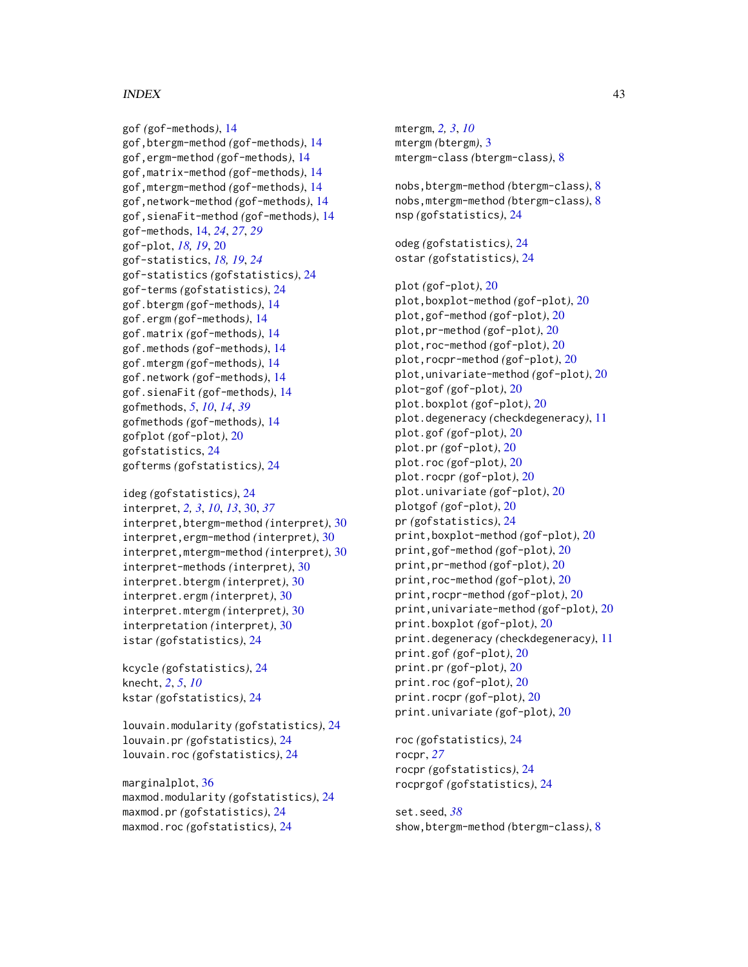#### $I<sub>N</sub>$  and  $I<sub>3</sub>$  and  $I<sub>43</sub>$

```
gof (gof-methods), 14
gof,btergm-method (gof-methods), 14
gof,ergm-method (gof-methods), 14
gof,matrix-method (gof-methods), 14
gof,mtergm-method (gof-methods), 14
gof,network-method (gof-methods), 14
gof,sienaFit-method (gof-methods), 14
gof-methods, 14, 24, 27, 29
gof-plot, 18, 19, 20
gof-statistics, 18, 19, 24
gof-statistics (gofstatistics), 24
gof-terms (gofstatistics), 24
gof.btergm (gof-methods), 14
gof.ergm (gof-methods), 14
gof.matrix (gof-methods), 14
gof.methods (gof-methods), 14
gof.mtergm (gof-methods), 14
gof.network (gof-methods), 14
gof.sienaFit (gof-methods), 14
gofmethods, 5, 10, 14, 39
gofmethods (gof-methods), 14
gofplot (gof-plot), 20
gofstatistics, 24
gofterms (gofstatistics), 24
```
ideg *(*gofstatistics*)*, [24](#page-23-0) interpret, *[2,](#page-1-0) [3](#page-2-0)*, *[10](#page-9-0)*, *[13](#page-12-0)*, [30,](#page-29-0) *[37](#page-36-0)* interpret,btergm-method *(*interpret*)*, [30](#page-29-0) interpret,ergm-method *(*interpret*)*, [30](#page-29-0) interpret,mtergm-method *(*interpret*)*, [30](#page-29-0) interpret-methods *(*interpret*)*, [30](#page-29-0) interpret.btergm *(*interpret*)*, [30](#page-29-0) interpret.ergm *(*interpret*)*, [30](#page-29-0) interpret.mtergm *(*interpret*)*, [30](#page-29-0) interpretation *(*interpret*)*, [30](#page-29-0) istar *(*gofstatistics*)*, [24](#page-23-0)

kcycle *(*gofstatistics*)*, [24](#page-23-0) knecht, *[2](#page-1-0)*, *[5](#page-4-0)*, *[10](#page-9-0)* kstar *(*gofstatistics*)*, [24](#page-23-0)

louvain.modularity *(*gofstatistics*)*, [24](#page-23-0) louvain.pr *(*gofstatistics*)*, [24](#page-23-0) louvain.roc *(*gofstatistics*)*, [24](#page-23-0)

marginalplot, [36](#page-35-0) maxmod.modularity *(*gofstatistics*)*, [24](#page-23-0) maxmod.pr *(*gofstatistics*)*, [24](#page-23-0) maxmod.roc *(*gofstatistics*)*, [24](#page-23-0)

mtergm, *[2,](#page-1-0) [3](#page-2-0)*, *[10](#page-9-0)* mtergm *(*btergm*)*, [3](#page-2-0) mtergm-class *(*btergm-class*)*, [8](#page-7-0) nobs,btergm-method *(*btergm-class*)*, [8](#page-7-0) nobs,mtergm-method *(*btergm-class*)*, [8](#page-7-0) nsp *(*gofstatistics*)*, [24](#page-23-0) odeg *(*gofstatistics*)*, [24](#page-23-0) ostar *(*gofstatistics*)*, [24](#page-23-0) plot *(*gof-plot*)*, [20](#page-19-0) plot,boxplot-method *(*gof-plot*)*, [20](#page-19-0) plot,gof-method *(*gof-plot*)*, [20](#page-19-0) plot,pr-method *(*gof-plot*)*, [20](#page-19-0) plot,roc-method *(*gof-plot*)*, [20](#page-19-0) plot,rocpr-method *(*gof-plot*)*, [20](#page-19-0) plot,univariate-method *(*gof-plot*)*, [20](#page-19-0) plot-gof *(*gof-plot*)*, [20](#page-19-0) plot.boxplot *(*gof-plot*)*, [20](#page-19-0) plot.degeneracy *(*checkdegeneracy*)*, [11](#page-10-0) plot.gof *(*gof-plot*)*, [20](#page-19-0) plot.pr *(*gof-plot*)*, [20](#page-19-0) plot.roc *(*gof-plot*)*, [20](#page-19-0) plot.rocpr *(*gof-plot*)*, [20](#page-19-0) plot.univariate *(*gof-plot*)*, [20](#page-19-0) plotgof *(*gof-plot*)*, [20](#page-19-0) pr *(*gofstatistics*)*, [24](#page-23-0) print,boxplot-method *(*gof-plot*)*, [20](#page-19-0) print,gof-method *(*gof-plot*)*, [20](#page-19-0) print,pr-method *(*gof-plot*)*, [20](#page-19-0) print,roc-method *(*gof-plot*)*, [20](#page-19-0) print,rocpr-method *(*gof-plot*)*, [20](#page-19-0) print,univariate-method *(*gof-plot*)*, [20](#page-19-0) print.boxplot *(*gof-plot*)*, [20](#page-19-0) print.degeneracy *(*checkdegeneracy*)*, [11](#page-10-0) print.gof *(*gof-plot*)*, [20](#page-19-0) print.pr *(*gof-plot*)*, [20](#page-19-0) print.roc *(*gof-plot*)*, [20](#page-19-0) print.rocpr *(*gof-plot*)*, [20](#page-19-0) print.univariate *(*gof-plot*)*, [20](#page-19-0)

roc *(*gofstatistics*)*, [24](#page-23-0) rocpr, *[27](#page-26-0)* rocpr *(*gofstatistics*)*, [24](#page-23-0) rocprgof *(*gofstatistics*)*, [24](#page-23-0)

set.seed, *[38](#page-37-0)* show,btergm-method *(*btergm-class*)*, [8](#page-7-0)